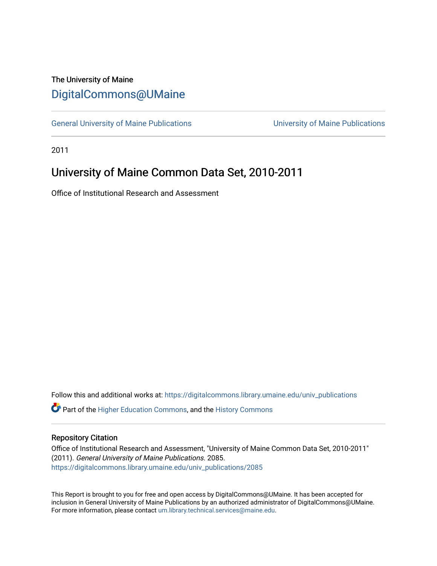# The University of Maine [DigitalCommons@UMaine](https://digitalcommons.library.umaine.edu/)

[General University of Maine Publications](https://digitalcommons.library.umaine.edu/univ_publications) [University of Maine Publications](https://digitalcommons.library.umaine.edu/umaine_publications) 

2011

# University of Maine Common Data Set, 2010-2011

Office of Institutional Research and Assessment

Follow this and additional works at: [https://digitalcommons.library.umaine.edu/univ\\_publications](https://digitalcommons.library.umaine.edu/univ_publications?utm_source=digitalcommons.library.umaine.edu%2Funiv_publications%2F2085&utm_medium=PDF&utm_campaign=PDFCoverPages) 

**C** Part of the [Higher Education Commons,](http://network.bepress.com/hgg/discipline/1245?utm_source=digitalcommons.library.umaine.edu%2Funiv_publications%2F2085&utm_medium=PDF&utm_campaign=PDFCoverPages) and the [History Commons](http://network.bepress.com/hgg/discipline/489?utm_source=digitalcommons.library.umaine.edu%2Funiv_publications%2F2085&utm_medium=PDF&utm_campaign=PDFCoverPages)

## Repository Citation

Office of Institutional Research and Assessment, "University of Maine Common Data Set, 2010-2011" (2011). General University of Maine Publications. 2085. [https://digitalcommons.library.umaine.edu/univ\\_publications/2085](https://digitalcommons.library.umaine.edu/univ_publications/2085?utm_source=digitalcommons.library.umaine.edu%2Funiv_publications%2F2085&utm_medium=PDF&utm_campaign=PDFCoverPages)

This Report is brought to you for free and open access by DigitalCommons@UMaine. It has been accepted for inclusion in General University of Maine Publications by an authorized administrator of DigitalCommons@UMaine. For more information, please contact [um.library.technical.services@maine.edu](mailto:um.library.technical.services@maine.edu).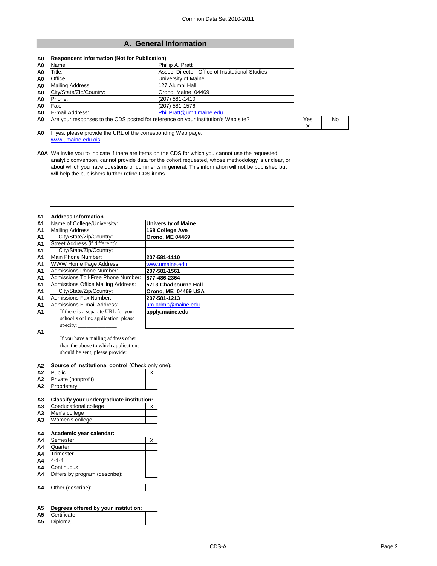# **A. General Information**

| A0             | Name:                                                                              |                           |     |    |
|----------------|------------------------------------------------------------------------------------|---------------------------|-----|----|
| A0             | Title:<br>Assoc. Director, Office of Institutional Studies                         |                           |     |    |
| A0             | Office:                                                                            | University of Maine       |     |    |
| A <sub>0</sub> | 127 Alumni Hall<br>Mailing Address:                                                |                           |     |    |
| A0             | City/State/Zip/Country:                                                            |                           |     |    |
| A0             | Phone:                                                                             | $(207)$ 581-1410          |     |    |
| A0             | Fax:                                                                               | $(207)$ 581-1576          |     |    |
| A <sub>0</sub> | E-mail Address:                                                                    | Phil.Pratt@umit.maine.edu |     |    |
| A <sub>0</sub> | Are your responses to the CDS posted for reference on your institution's Web site? |                           | Yes | No |
|                |                                                                                    |                           | Χ   |    |
| A <sub>0</sub> | If yes, please provide the URL of the corresponding Web page:                      |                           |     |    |

[www.umaine.edu.ois](http://www.umaine.edu.ois/)

**A0A** We invite you to indicate if there are items on the CDS for which you cannot use the requested analytic convention, cannot provide data for the cohort requested, whose methodology is unclear, or about which you have questions or comments in general. This information will not be published but will help the publishers further refine CDS items.

### **A1 Address Information**

| .              |                                           |                            |
|----------------|-------------------------------------------|----------------------------|
| A <sub>1</sub> | Name of College/University:               | <b>University of Maine</b> |
| A <sub>1</sub> | Mailing Address:                          | 168 College Ave            |
| A <sub>1</sub> | City/State/Zip/Country:                   | <b>Orono, ME 04469</b>     |
| A <sub>1</sub> | Street Address (if different):            |                            |
| A <sub>1</sub> | City/State/Zip/Country:                   |                            |
| A1             | Main Phone Number:                        | 207-581-1110               |
| A <sub>1</sub> | <b>WWW Home Page Address:</b>             | www.umaine.edu             |
| A <sub>1</sub> | <b>Admissions Phone Number:</b>           | 207-581-1561               |
| A <sub>1</sub> | Admissions Toll-Free Phone Number:        | 877-486-2364               |
| A <sub>1</sub> | <b>Admissions Office Mailing Address:</b> | 5713 Chadbourne Hall       |
| A <sub>1</sub> | City/State/Zip/Country:                   | Orono, ME 04469 USA        |
| A <sub>1</sub> | <b>Admissions Fax Number:</b>             | 207-581-1213               |
| A <sub>1</sub> | <b>Admissions E-mail Address:</b>         | um-admit@maine.edu         |
| A1             | If there is a separate URL for your       | apply.maine.edu            |
|                | school's online application, please       |                            |
|                | specify: $\_\_$                           |                            |

 $\overline{\phantom{0}}$ 

**A1**

If you have a mailing address other than the above to which applications should be sent, please provide:

| A2 Source of institutional control (Check only one): |
|------------------------------------------------------|
|------------------------------------------------------|

| A2 | <b>IPublic</b>         |  |  |  |
|----|------------------------|--|--|--|
|    | A2 Private (nonprofit) |  |  |  |
| A2 | Proprietary            |  |  |  |

| A3 Classify your undergraduate institution: |  |
|---------------------------------------------|--|

| A <sub>3</sub> | Coeducational college |  |
|----------------|-----------------------|--|
|                | A3 Men's college      |  |
| $\Lambda$ 2    | Waman's collage       |  |

| <b>AJ IVVULIBILS</b> CONCUP |  |  |  |  |  |  |  |  |
|-----------------------------|--|--|--|--|--|--|--|--|
|                             |  |  |  |  |  |  |  |  |
|                             |  |  |  |  |  |  |  |  |

## **A4 Academic year calendar:**

| A <sub>4</sub> | Semester                       | Χ |
|----------------|--------------------------------|---|
| A <sub>4</sub> | Quarter                        |   |
| A <sub>4</sub> | <b>Trimester</b>               |   |
| A <sub>4</sub> | $4 - 1 - 4$                    |   |
| A <sub>4</sub> | Continuous                     |   |
| A4             | Differs by program (describe): |   |
|                |                                |   |
| A4             | Other (describe):              |   |
|                |                                |   |
|                |                                |   |

## **A5 Degrees offered by your institution:**

**A5** Certificate **A5** Diploma

 $\mathbf{I}$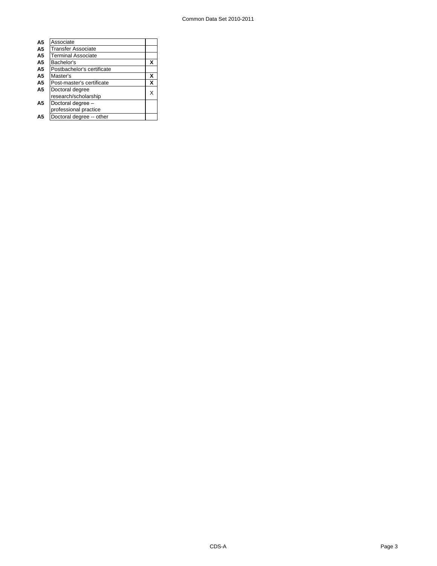| Associate                  |   |
|----------------------------|---|
| <b>Transfer Associate</b>  |   |
| <b>Terminal Associate</b>  |   |
| Bachelor's                 | X |
| Postbachelor's certificate |   |
| Master's                   | х |
| Post-master's certificate  | X |
| Doctoral degree            | x |
| research/scholarship       |   |
| Doctoral degree -          |   |
| professional practice      |   |
| Doctoral degree -- other   |   |
|                            |   |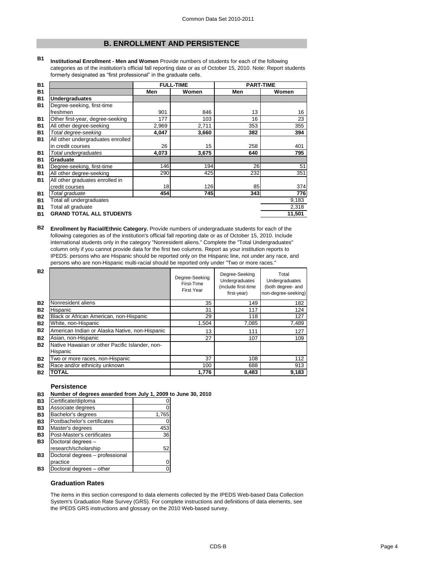# **B. ENROLLMENT AND PERSISTENCE**

**B1 Institutional Enrollment - Men and Women** Provide numbers of students for each of the following categories as of the institution's official fall reporting date or as of October 15, 2010. Note: Report students formerly designated as "first professional" in the graduate cells.

| <b>B1</b>      |                                   |       | <b>FULL-TIME</b> | <b>PART-TIME</b> |        |
|----------------|-----------------------------------|-------|------------------|------------------|--------|
| <b>B1</b>      |                                   | Men   | Women            | Men              | Women  |
| <b>B1</b>      | <b>Undergraduates</b>             |       |                  |                  |        |
| <b>B1</b>      | Degree-seeking, first-time        |       |                  |                  |        |
|                | freshmen                          | 901   | 846              | 13               | 16     |
| <b>B1</b>      | Other first-year, degree-seeking  | 177   | 103              | 16               | 23     |
| <b>B1</b>      | All other degree-seeking          | 2,969 | 2,711            | 353              | 355    |
| <b>B1</b>      | Total degree-seeking              | 4,047 | 3,660            | 382              | 394    |
| <b>B1</b>      | All other undergraduates enrolled |       |                  |                  |        |
|                | in credit courses                 | 26    | 15               | 258              | 401    |
| <b>B1</b>      | Total undergraduates              | 4,073 | 3,675            | 640              | 795    |
| <b>B1</b>      | Graduate                          |       |                  |                  |        |
| <b>B1</b>      | Degree-seeking, first-time        | 146   | 194              | 26               | 51     |
| <b>B1</b>      | All other degree-seeking          | 290   | 425              | 232              | 351    |
| <b>B1</b>      | All other graduates enrolled in   |       |                  |                  |        |
|                | credit courses                    | 18    | 126              | 85               | 374    |
| <b>B1</b>      | Total graduate                    | 454   | 745              | 343              | 776    |
| <b>B1</b>      | Total all undergraduates          |       |                  |                  | 9,183  |
| B <sub>1</sub> | Total all graduate                |       |                  |                  | 2,318  |
| <b>B1</b>      | <b>GRAND TOTAL ALL STUDENTS</b>   |       |                  |                  | 11,501 |

**B2 Enrollment by Racial/Ethnic Category.** Provide numbers of undergraduate students for each of the following categories as of the institution's official fall reporting date or as of October 15, 2010. Include international students only in the category "Nonresident aliens." Complete the "Total Undergraduates" column only if you cannot provide data for the first two columns. Report as your institution reports to IPEDS: persons who are Hispanic should be reported only on the Hispanic line, not under any race, and persons who are non-Hispanic multi-racial should be reported only under "Two or more races."

| <b>B2</b> |                                                             | Degree-Seeking<br>First-Time<br><b>First Year</b> | Degree-Seeking<br>Undergraduates<br>(include first-time<br>first-year) | Total<br>Undergraduates<br>(both degree- and<br>non-degree-seeking) |
|-----------|-------------------------------------------------------------|---------------------------------------------------|------------------------------------------------------------------------|---------------------------------------------------------------------|
| <b>B2</b> | Nonresident aliens                                          | 35                                                | 149                                                                    | 182                                                                 |
| <b>B2</b> | Hispanic                                                    | 31                                                | 117                                                                    | 124                                                                 |
| <b>B2</b> | Black or African American, non-Hispanic                     | 29                                                | 118                                                                    | 127                                                                 |
| <b>B2</b> | White, non-Hispanic                                         | 1,504                                             | 7,085                                                                  | 7,489                                                               |
| <b>B2</b> | American Indian or Alaska Native, non-Hispanic              | 13                                                | 111                                                                    | 127                                                                 |
| <b>B2</b> | Asian, non-Hispanic                                         | 27                                                | 107                                                                    | 109                                                                 |
| <b>B2</b> | Native Hawaiian or other Pacific Islander, non-<br>Hispanic |                                                   |                                                                        |                                                                     |
| <b>B2</b> | Two or more races, non-Hispanic                             | 37                                                | 108                                                                    | 112                                                                 |
| <b>B2</b> | Race and/or ethnicity unknown                               | 100                                               | 688                                                                    | 913                                                                 |
| <b>B2</b> | <b>TOTAL</b>                                                | 1,776                                             | 8,483                                                                  | 9,183                                                               |

#### **Persistence**

|  | B3 Number of degrees awarded from July 1, 2009 to June 30, 2010 |  |
|--|-----------------------------------------------------------------|--|
|--|-----------------------------------------------------------------|--|

| <b>B3</b> | Certificate/diploma             |       |
|-----------|---------------------------------|-------|
| <b>B3</b> | Associate degrees               |       |
| <b>B3</b> | Bachelor's degrees              | 1,765 |
| <b>B3</b> | Postbachelor's certificates     |       |
| <b>B3</b> | Master's degrees                | 453   |
| <b>B3</b> | Post-Master's certificates      | 36    |
| <b>B3</b> | Doctoral degrees -              |       |
|           | research/scholarship            | 52    |
| <b>B3</b> | Doctoral degrees - professional |       |
|           | practice                        |       |
| <b>B3</b> | Doctoral degrees - other        |       |

## **Graduation Rates**

The items in this section correspond to data elements collected by the IPEDS Web-based Data Collection System's Graduation Rate Survey (GRS). For complete instructions and definitions of data elements, see the IPEDS GRS instructions and glossary on the 2010 Web-based survey.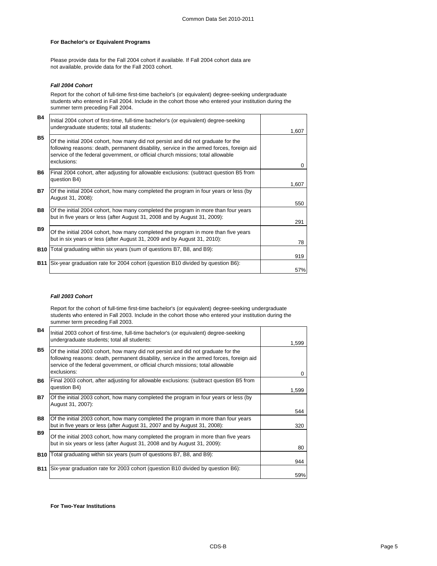## **For Bachelor's or Equivalent Programs**

Please provide data for the Fall 2004 cohort if available. If Fall 2004 cohort data are not available, provide data for the Fall 2003 cohort.

### *Fall 2004 Cohort*

Report for the cohort of full-time first-time bachelor's (or equivalent) degree-seeking undergraduate students who entered in Fall 2004. Include in the cohort those who entered your institution during the summer term preceding Fall 2004.

| <b>B4</b>  | Initial 2004 cohort of first-time, full-time bachelor's (or equivalent) degree-seeking<br>undergraduate students; total all students:                                                                                                                                           | 1,607 |
|------------|---------------------------------------------------------------------------------------------------------------------------------------------------------------------------------------------------------------------------------------------------------------------------------|-------|
| <b>B5</b>  | Of the initial 2004 cohort, how many did not persist and did not graduate for the<br>following reasons: death, permanent disability, service in the armed forces, foreign aid<br>service of the federal government, or official church missions; total allowable<br>exclusions: | 0     |
| <b>B6</b>  | Final 2004 cohort, after adjusting for allowable exclusions: (subtract question B5 from<br>question B4)                                                                                                                                                                         | 1,607 |
| <b>B7</b>  | Of the initial 2004 cohort, how many completed the program in four years or less (by<br>August 31, 2008):                                                                                                                                                                       | 550   |
| <b>B8</b>  | Of the initial 2004 cohort, how many completed the program in more than four years<br>but in five years or less (after August 31, 2008 and by August 31, 2009):                                                                                                                 | 291   |
| <b>B9</b>  | Of the initial 2004 cohort, how many completed the program in more than five years<br>but in six years or less (after August 31, 2009 and by August 31, 2010):                                                                                                                  | 78    |
| <b>B10</b> | Total graduating within six years (sum of questions B7, B8, and B9):                                                                                                                                                                                                            | 919   |
| <b>B11</b> | Six-year graduation rate for 2004 cohort (question B10 divided by question B6):                                                                                                                                                                                                 | 57%   |

#### *Fall 2003 Cohort*

Report for the cohort of full-time first-time bachelor's (or equivalent) degree-seeking undergraduate students who entered in Fall 2003. Include in the cohort those who entered your institution during the summer term preceding Fall 2003.

| <b>B4</b>  | Initial 2003 cohort of first-time, full-time bachelor's (or equivalent) degree-seeking<br>undergraduate students; total all students:                                                                                                                                           | 1,599 |
|------------|---------------------------------------------------------------------------------------------------------------------------------------------------------------------------------------------------------------------------------------------------------------------------------|-------|
| <b>B5</b>  | Of the initial 2003 cohort, how many did not persist and did not graduate for the<br>following reasons: death, permanent disability, service in the armed forces, foreign aid<br>service of the federal government, or official church missions; total allowable<br>exclusions: | 0     |
| B6.        | Final 2003 cohort, after adjusting for allowable exclusions: (subtract question B5 from<br>question B4)                                                                                                                                                                         | 1,599 |
| <b>B7</b>  | Of the initial 2003 cohort, how many completed the program in four years or less (by<br>August 31, 2007):                                                                                                                                                                       | 544   |
| <b>B8</b>  | Of the initial 2003 cohort, how many completed the program in more than four years<br>but in five years or less (after August 31, 2007 and by August 31, 2008):                                                                                                                 | 320   |
| <b>B9</b>  | Of the initial 2003 cohort, how many completed the program in more than five years<br>but in six years or less (after August 31, 2008 and by August 31, 2009):                                                                                                                  | 80    |
| <b>B10</b> | Total graduating within six years (sum of questions B7, B8, and B9):                                                                                                                                                                                                            | 944   |
| <b>B11</b> | Six-year graduation rate for 2003 cohort (question B10 divided by question B6):                                                                                                                                                                                                 | 59%   |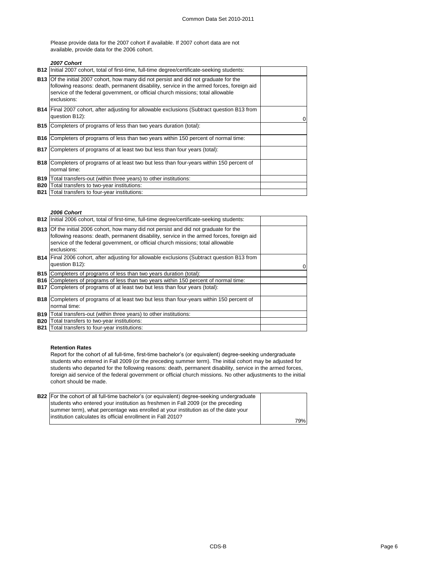Please provide data for the 2007 cohort if available. If 2007 cohort data are not available, provide data for the 2006 cohort.

## *2007 Cohort*

|            | B12   Initial 2007 cohort, total of first-time, full-time degree/certificate-seeking students:                                                                                                                                                                                             |                |
|------------|--------------------------------------------------------------------------------------------------------------------------------------------------------------------------------------------------------------------------------------------------------------------------------------------|----------------|
|            | <b>B13</b> Of the initial 2007 cohort, how many did not persist and did not graduate for the<br>following reasons: death, permanent disability, service in the armed forces, foreign aid<br>service of the federal government, or official church missions; total allowable<br>exclusions: |                |
|            | <b>B14</b> Final 2007 cohort, after adjusting for allowable exclusions (Subtract question B13 from<br>question B12):                                                                                                                                                                       | $\overline{0}$ |
| <b>B15</b> | Completers of programs of less than two years duration (total):                                                                                                                                                                                                                            |                |
| B16        | Completers of programs of less than two years within 150 percent of normal time:                                                                                                                                                                                                           |                |
| <b>B17</b> | Completers of programs of at least two but less than four years (total):                                                                                                                                                                                                                   |                |
|            | <b>B18</b> Completers of programs of at least two but less than four-years within 150 percent of<br>normal time:                                                                                                                                                                           |                |
| <b>B19</b> | Total transfers-out (within three years) to other institutions:                                                                                                                                                                                                                            |                |
| <b>B20</b> | Total transfers to two-year institutions:                                                                                                                                                                                                                                                  |                |
| <b>B21</b> | Total transfers to four-year institutions:                                                                                                                                                                                                                                                 |                |

#### *2006 Cohort*

|            | <b>B12</b> Initial 2006 cohort, total of first-time, full-time degree/certificate-seeking students:                                                                                                                                                                                        |  |
|------------|--------------------------------------------------------------------------------------------------------------------------------------------------------------------------------------------------------------------------------------------------------------------------------------------|--|
|            | <b>B13</b> Of the initial 2006 cohort, how many did not persist and did not graduate for the<br>following reasons: death, permanent disability, service in the armed forces, foreign aid<br>service of the federal government, or official church missions; total allowable<br>exclusions: |  |
|            | <b>B14</b> Final 2006 cohort, after adjusting for allowable exclusions (Subtract question B13 from<br>question B12):                                                                                                                                                                       |  |
|            | <b>B15</b> Completers of programs of less than two years duration (total):                                                                                                                                                                                                                 |  |
|            | <b>B16</b> Completers of programs of less than two years within 150 percent of normal time:                                                                                                                                                                                                |  |
| <b>B17</b> | Completers of programs of at least two but less than four years (total):                                                                                                                                                                                                                   |  |
|            | <b>B18</b> Completers of programs of at least two but less than four-years within 150 percent of<br>normal time:                                                                                                                                                                           |  |
| <b>B19</b> | Total transfers-out (within three years) to other institutions:                                                                                                                                                                                                                            |  |
| <b>B20</b> | Total transfers to two-year institutions:                                                                                                                                                                                                                                                  |  |
|            | <b>B21</b> Total transfers to four-year institutions:                                                                                                                                                                                                                                      |  |

#### **Retention Rates**

Report for the cohort of all full-time, first-time bachelor's (or equivalent) degree-seeking undergraduate students who entered in Fall 2009 (or the preceding summer term). The initial cohort may be adjusted for students who departed for the following reasons: death, permanent disability, service in the armed forces, foreign aid service of the federal government or official church missions. No other adjustments to the initial cohort should be made.

| <b>B22</b> For the cohort of all full-time bachelor's (or equivalent) degree-seeking undergraduate |     |
|----------------------------------------------------------------------------------------------------|-----|
| students who entered your institution as freshmen in Fall 2009 (or the preceding                   |     |
| summer term), what percentage was enrolled at your institution as of the date your                 |     |
| linstitution calculates its official enrollment in Fall 2010?                                      |     |
|                                                                                                    | 79% |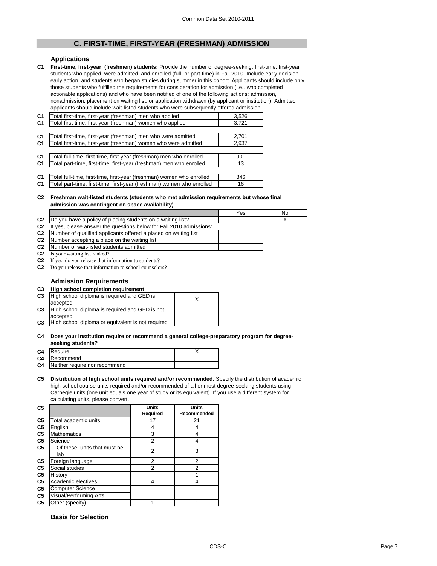# **C. FIRST-TIME, FIRST-YEAR (FRESHMAN) ADMISSION**

## **Applications**

**C1 First-time, first-year, (freshmen) students:** Provide the number of degree-seeking, first-time, first-year students who applied, were admitted, and enrolled (full- or part-time) in Fall 2010. Include early decision, early action, and students who began studies during summer in this cohort. Applicants should include only those students who fulfilled the requirements for consideration for admission (i.e., who completed actionable applications) and who have been notified of one of the following actions: admission, nonadmission, placement on waiting list, or application withdrawn (by applicant or institution). Admitted applicants should include wait-listed students who were subsequently offered admission.

| C <sub>1</sub> | Total first-time, first-year (freshman) men who applied               | 3,526 |
|----------------|-----------------------------------------------------------------------|-------|
| C <sub>1</sub> | Total first-time, first-year (freshman) women who applied             | 3,721 |
|                |                                                                       |       |
| C <sub>1</sub> | Total first-time, first-year (freshman) men who were admitted         | 2,701 |
| C <sub>1</sub> | Total first-time, first-year (freshman) women who were admitted       | 2,937 |
|                |                                                                       |       |
| C <sub>1</sub> | Total full-time, first-time, first-year (freshman) men who enrolled   | 901   |
| C <sub>1</sub> | Total part-time, first-time, first-year (freshman) men who enrolled   | 13    |
|                |                                                                       |       |
| C <sub>1</sub> | Total full-time, first-time, first-year (freshman) women who enrolled | 846   |
| C <sub>1</sub> | Total part-time, first-time, first-year (freshman) women who enrolled | 16    |

#### **C2 Freshman wait-listed students (students who met admission requirements but whose final admission was contingent on space availability)**

|                |                                                                     | Yes | No |
|----------------|---------------------------------------------------------------------|-----|----|
| C <sub>2</sub> | Do you have a policy of placing students on a waiting list?         |     |    |
| C <sub>2</sub> | If yes, please answer the questions below for Fall 2010 admissions: |     |    |
| C <sub>2</sub> | Number of qualified applicants offered a placed on waiting list     |     |    |
| C <sub>2</sub> | Number accepting a place on the waiting list                        |     |    |
| C2             | Number of wait-listed students admitted                             |     |    |
| C <sub>2</sub> | Is your waiting list ranked?                                        |     |    |
| C <sub>2</sub> | If yes, do you release that information to students?                |     |    |
| C2             | Do you release that information to school counselors?               |     |    |

## **Admission Requirements**

#### **C3 High school completion requirement**

| C <sub>3</sub> | High school diploma is required and GED is<br>accepted     |  |
|----------------|------------------------------------------------------------|--|
| C <sub>3</sub> | High school diploma is required and GED is not<br>accepted |  |
| C <sub>3</sub> | High school diploma or equivalent is not required          |  |

#### **C4 Does your institution require or recommend a general college-preparatory program for degreeseeking students?**

| C4 Require                              |  |
|-----------------------------------------|--|
| C4 Recommend                            |  |
| <b>C4</b> Neither require nor recommend |  |

**C5 Distribution of high school units required and/or recommended.** Specify the distribution of academic high school course units required and/or recommended of all or most degree-seeking students using Carnegie units (one unit equals one year of study or its equivalent). If you use a different system for calculating units, please convert.

| C <sub>5</sub> |                                     | <b>Units</b>    | <b>Units</b>       |
|----------------|-------------------------------------|-----------------|--------------------|
|                |                                     | <b>Required</b> | <b>Recommended</b> |
| C <sub>5</sub> | Total academic units                | 17              | 21                 |
| C <sub>5</sub> | English                             | 4               | 4                  |
| C <sub>5</sub> | <b>Mathematics</b>                  | 3               | 4                  |
| C <sub>5</sub> | Science                             | $\overline{2}$  | 4                  |
| C <sub>5</sub> | Of these, units that must be<br>lab | 2               | 3                  |
| C <sub>5</sub> | Foreign language                    | $\overline{2}$  | 2                  |
| C <sub>5</sub> | Social studies                      | $\overline{2}$  | 2                  |
| C <sub>5</sub> | History                             |                 |                    |
| C <sub>5</sub> | Academic electives                  | 4               | 4                  |
| C <sub>5</sub> | Computer Science                    |                 |                    |
| C <sub>5</sub> | <b>Visual/Performing Arts</b>       |                 |                    |
| C <sub>5</sub> | Other (specify)                     |                 | 4                  |

## **Basis for Selection**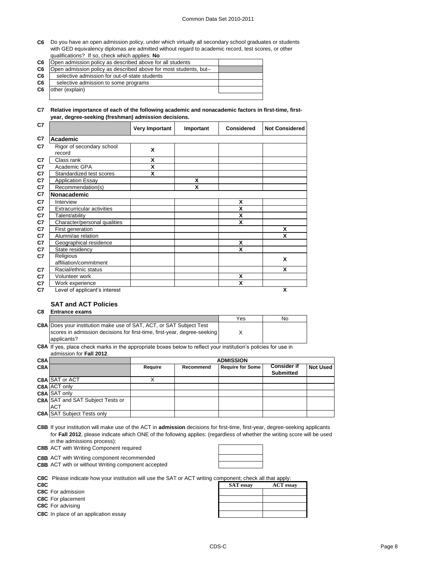#### Common Data Set 2010-2011

**C6** Do you have an open admission policy, under which virtually all secondary school graduates or students with GED equivalency diplomas are admitted without regard to academic record, test scores, or other qualifications? If so, check which applies: **No**

| C <sub>6</sub> | Open admission policy as described above for all students         |  |
|----------------|-------------------------------------------------------------------|--|
| C <sub>6</sub> | Open admission policy as described above for most students, but-- |  |
| C <sub>6</sub> | selective admission for out-of-state students                     |  |
| C <sub>6</sub> | selective admission to some programs                              |  |
| C <sub>6</sub> | other (explain)                                                   |  |
|                |                                                                   |  |

**C7 Relative importance of each of the following academic and nonacademic factors in first-time, firstyear, degree-seeking (freshman) admission decisions.**

| C7             |                                     | <b>Very Important</b> | Important | <b>Considered</b>         | <b>Not Considered</b>     |
|----------------|-------------------------------------|-----------------------|-----------|---------------------------|---------------------------|
| C <sub>7</sub> | <b>Academic</b>                     |                       |           |                           |                           |
| C <sub>7</sub> | Rigor of secondary school<br>record | X                     |           |                           |                           |
| C <sub>7</sub> | Class rank                          | χ                     |           |                           |                           |
| C7             | Academic GPA                        | X                     |           |                           |                           |
| C7             | Standardized test scores            | X                     |           |                           |                           |
| C7             | <b>Application Essay</b>            |                       | X         |                           |                           |
| C7             | Recommendation(s)                   |                       | χ         |                           |                           |
| C7             | Nonacademic                         |                       |           |                           |                           |
| C <sub>7</sub> | Interview                           |                       |           | $\boldsymbol{\mathsf{X}}$ |                           |
| C7             | <b>Extracurricular activities</b>   |                       |           | X                         |                           |
| C <sub>7</sub> | Talent/ability                      |                       |           | X                         |                           |
| C <sub>7</sub> | Character/personal qualities        |                       |           | X                         |                           |
| C <sub>7</sub> | First generation                    |                       |           |                           | X                         |
| C7             | Alumni/ae relation                  |                       |           |                           | X                         |
| C7             | Geographical residence              |                       |           | X                         |                           |
| C7             | State residency                     |                       |           | X                         |                           |
| C7             | Religious                           |                       |           |                           | $\boldsymbol{\mathsf{X}}$ |
|                | affiliation/commitment              |                       |           |                           |                           |
| C <sub>7</sub> | Racial/ethnic status                |                       |           |                           | X                         |
| C7             | Volunteer work                      |                       |           | X                         |                           |
| C <sub>7</sub> | Work experience                     |                       |           | X                         |                           |
| C7             | Level of applicant's interest       |                       |           |                           | X                         |

## **SAT and ACT Policies**

**C8 Entrance exams** 

|                                                                            | Yes | No |
|----------------------------------------------------------------------------|-----|----|
| <b>C8A Does your institution make use of SAT, ACT, or SAT Subject Test</b> |     |    |
| scores in admission decisions for first-time, first-year, degree-seeking   |     |    |
| applicants?                                                                |     |    |

**C8A** If yes, place check marks in the appropriate boxes below to reflect your institution's policies for use in admission for **Fall 2012**.

| C8A |                                         | <b>ADMISSION</b> |                  |                         |                    |                 |
|-----|-----------------------------------------|------------------|------------------|-------------------------|--------------------|-----------------|
| C8A |                                         | Require          | <b>Recommend</b> | <b>Require for Some</b> | <b>Consider if</b> | <b>Not Used</b> |
|     |                                         |                  |                  |                         | <b>Submitted</b>   |                 |
|     | C8A SAT or ACT                          |                  |                  |                         |                    |                 |
|     | <b>C8A ACT only</b>                     |                  |                  |                         |                    |                 |
|     | C8A SAT only                            |                  |                  |                         |                    |                 |
|     | <b>C8A SAT and SAT Subject Tests or</b> |                  |                  |                         |                    |                 |
|     | <b>ACT</b>                              |                  |                  |                         |                    |                 |
|     | <b>C8A SAT Subject Tests only</b>       |                  |                  |                         |                    |                 |

**C8B** If your institution will make use of the ACT in **admission** decisions for first-time, first-year, degree-seeking applicants for **Fall 2012**, please indicate which ONE of the following applies: (regardless of whether the writing score will be used in the admissions process):

**C8B** ACT with Writing Component required

**C8B** ACT with Writing component recommended **C8B** ACT with or without Writing component accepted



**C8C** Please indicate how your institution will use the SAT or ACT writing component; check all that apply:

**C8C** In place of an application essay

| <b>COC</b> FIGURE INDUCTION YOUR INSTITUTION WILL USE THE SATE OF ACT WITHING COMPONEIT, CHECK AIL THAT APPIV. |                  |                  |
|----------------------------------------------------------------------------------------------------------------|------------------|------------------|
| C8C                                                                                                            | <b>SAT</b> essay | <b>ACT</b> essay |
| C8C For admission                                                                                              |                  |                  |
| C8C For placement                                                                                              |                  |                  |
| <b>C8C</b> For advising                                                                                        |                  |                  |
| C8C. In place of an application essay                                                                          |                  |                  |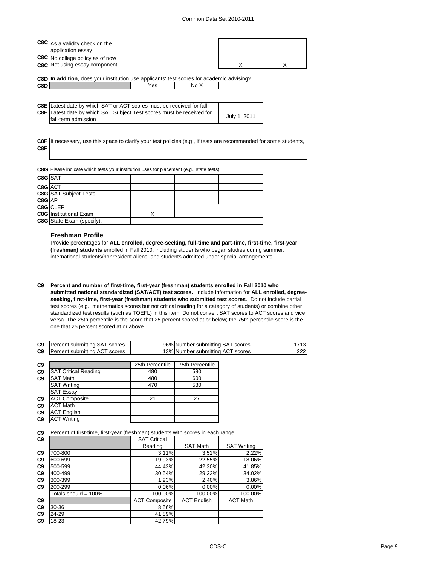| C8C As a validity check on the       |  |
|--------------------------------------|--|
| application essay                    |  |
| C8C No college policy as of now      |  |
| <b>C8C</b> Not using essay component |  |

**C8D In addition**, does your institution use applicants' test scores for academic advising?

| <b>C8E</b> Latest date by which SAT or ACT scores must be received for fall- |              |
|------------------------------------------------------------------------------|--------------|
| C8E Latest date by which SAT Subject Test scores must be received for        |              |
| fall-term admission                                                          | July 1, 2011 |

**C8F** If necessary, use this space to clarify your test policies (e.g., if tests are recommended for some students, **C8F**

**C8G** Please indicate which tests your institution uses for placement (e.g., state tests):

**C8D** No X

| C8G SAT |                                  |  |  |
|---------|----------------------------------|--|--|
| C8G ACT |                                  |  |  |
|         | <b>C8G</b> SAT Subject Tests     |  |  |
| C8G AP  |                                  |  |  |
|         | C8G CLEP                         |  |  |
|         | <b>C8G</b> Institutional Exam    |  |  |
|         | <b>C8G</b> State Exam (specify): |  |  |

#### **Freshman Profile**

Provide percentages for **ALL enrolled, degree-seeking, full-time and part-time, first-time, first-year (freshman) students** enrolled in Fall 2010, including students who began studies during summer, international students/nonresident aliens, and students admitted under special arrangements.

**C9 Percent and number of first-time, first-year (freshman) students enrolled in Fall 2010 who submitted national standardized (SAT/ACT) test scores.** Include information for **ALL enrolled, degreeseeking, first-time, first-year (freshman) students who submitted test scores**. Do not include partial test scores (e.g., mathematics scores but not critical reading for a category of students) or combine other standardized test results (such as TOEFL) in this item. Do not convert SAT scores to ACT scores and vice versa. The 25th percentile is the score that 25 percent scored at or below; the 75th percentile score is the one that 25 percent scored at or above.

| C9             | Percent submitting SAT scores        | 96% Number submitting SAT scores |  |
|----------------|--------------------------------------|----------------------------------|--|
| C <sub>9</sub> | <b>Percent submitting ACT scores</b> | 13% Number submitting ACT scores |  |

| C <sub>9</sub> |                             | 25th Percentile | 75th Percentile |
|----------------|-----------------------------|-----------------|-----------------|
| C9             | <b>SAT Critical Reading</b> | 480             | 590             |
| C9             | <b>SAT Math</b>             | 480             | 600             |
|                | <b>SAT Writing</b>          | 470             | 580             |
|                | <b>SAT Essay</b>            |                 |                 |
| C <sub>9</sub> | <b>ACT Composite</b>        | 21              | 27              |
| C9             | <b>ACT Math</b>             |                 |                 |
| C9             | <b>ACT English</b>          |                 |                 |
| C <sub>9</sub> | <b>ACT</b> Writing          |                 |                 |

**C9** Percent of first-time, first-year (freshman) students with scores in each range:

| C9             |                         | <b>SAT Critical</b>  |                    |                    |
|----------------|-------------------------|----------------------|--------------------|--------------------|
|                |                         | Reading              | <b>SAT Math</b>    | <b>SAT Writing</b> |
| C9             | 700-800                 | 3.11%                | 3.52%              | 2.22%              |
| C <sub>9</sub> | 600-699                 | 19.93%               | 22.55%             | 18.06%             |
| C9             | 500-599                 | 44.43%               | 42.30%             | 41.85%             |
| C9             | 400-499                 | 30.54%               | 29.23%             | 34.02%             |
| C9             | 300-399                 | 1.93%                | 2.40%              | 3.86%              |
| C9             | 200-299                 | 0.06%                | 0.00%              | 0.00%              |
|                | Totals should = $100\%$ | 100.00%              | 100.00%            | 100.00%            |
| C9             |                         | <b>ACT Composite</b> | <b>ACT English</b> | <b>ACT Math</b>    |
| C <sub>9</sub> | 30-36                   | 8.56%                |                    |                    |
| C <sub>9</sub> | 24-29                   | 41.89%               |                    |                    |
| C <sub>9</sub> | 18-23                   | 42.79%               |                    |                    |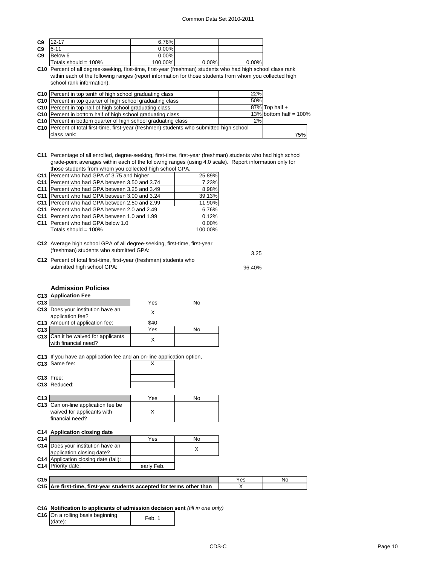3.25

96.40%

| C <sub>9</sub> | $12 - 17$            | 6.76%    |          |       |
|----------------|----------------------|----------|----------|-------|
| C <sub>9</sub> | $6 - 11$             | $0.00\%$ |          |       |
| C <sub>9</sub> | Below 6              | $0.00\%$ |          |       |
|                | Totals should = 100% | 100.00%  | $0.00\%$ | 0.00% |

**C10** Percent of all degree-seeking, first-time, first-year (freshman) students who had high school class rank within each of the following ranges (report information for those students from whom you collected high school rank information).

| C10 Percent in top tenth of high school graduating class                                  | 22% |                           |
|-------------------------------------------------------------------------------------------|-----|---------------------------|
| C10 Percent in top quarter of high school graduating class                                | 50% |                           |
| C10   Percent in top half of high school graduating class                                 |     | $87\%$ Top half +         |
| C10 Percent in bottom half of high school graduating class                                |     | 13% bottom half = $100\%$ |
| C10 Percent in bottom quarter of high school graduating class                             | 2%  |                           |
| C10 Percent of total first-time, first-year (freshmen) students who submitted high school |     |                           |
| class rank:                                                                               |     | 75%                       |

**C11** Percentage of all enrolled, degree-seeking, first-time, first-year (freshman) students who had high school grade-point averages within each of the following ranges (using 4.0 scale). Report information only for those students from whom you collected high school GPA.

| C11   Percent who had GPA of 3.75 and higher    | 25.89%   |
|-------------------------------------------------|----------|
| C11 Percent who had GPA between 3.50 and 3.74   | 7.23%    |
| C11   Percent who had GPA between 3.25 and 3.49 | 8.98%    |
| C11   Percent who had GPA between 3.00 and 3.24 | 39.13%   |
| C11   Percent who had GPA between 2.50 and 2.99 | 11.90%   |
| C11 Percent who had GPA between 2.0 and 2.49    | 6.76%    |
| C11 Percent who had GPA between 1.0 and 1.99    | 0.12%    |
| C11 Percent who had GPA below 1.0               | $0.00\%$ |
| Totals should = $100\%$                         | 100.00%  |
|                                                 |          |

- **C12** Average high school GPA of all degree-seeking, first-time, first-year (freshman) students who submitted GPA:
- **C12** Percent of total first-time, first-year (freshman) students who submitted high school GPA:

## **Admission Policies**

|                 | <b>C13 Application Fee</b>                                                             |      |    |
|-----------------|----------------------------------------------------------------------------------------|------|----|
| C <sub>13</sub> |                                                                                        | Yes  | No |
|                 | C13 Does your institution have an<br>application fee?                                  | X    |    |
|                 | C13 Amount of application fee:                                                         | \$40 |    |
| C <sub>13</sub> |                                                                                        | Yes  | No |
|                 | C13 Can it be waived for applicants<br>with financial need?                            | x    |    |
|                 | C13 If you have an application fee and an on-line application option,<br>C13 Same fee: |      |    |

|                 | C13 Free:                                                             |            |     |     |    |
|-----------------|-----------------------------------------------------------------------|------------|-----|-----|----|
|                 | C13 Reduced:                                                          |            |     |     |    |
|                 |                                                                       |            |     |     |    |
| C <sub>13</sub> |                                                                       | Yes        | No  |     |    |
|                 | C13 Can on-line application fee be                                    |            |     |     |    |
|                 | waived for applicants with                                            | X          |     |     |    |
|                 | financial need?                                                       |            |     |     |    |
|                 |                                                                       |            |     |     |    |
|                 | C14 Application closing date                                          |            |     |     |    |
| C14             |                                                                       | Yes        | No. |     |    |
| C14             | Does your institution have an                                         |            | X   |     |    |
|                 | application closing date?                                             |            |     |     |    |
|                 | <b>C14</b> Application closing date (fall):                           |            |     |     |    |
|                 | C14 Priority date:                                                    | early Feb. |     |     |    |
|                 |                                                                       |            |     |     |    |
| C <sub>15</sub> |                                                                       |            |     | Yes | No |
|                 | C15 Are first-time, first-year students accepted for terms other than |            |     | X   |    |

## **C16 Notification to applicants of admission decision sent** *(fill in one only)*

| C16 On a rolling basis beginning | Feb. |
|----------------------------------|------|
| $(data)$ :                       |      |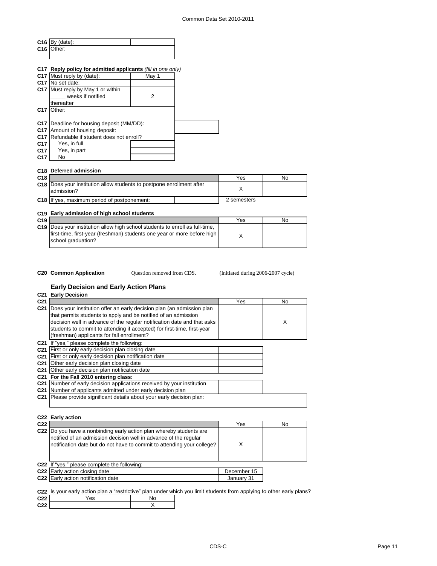|                 | $C16$ By (date):                                                               |                |             |           |
|-----------------|--------------------------------------------------------------------------------|----------------|-------------|-----------|
|                 | C <sub>16</sub>   Other:                                                       |                |             |           |
|                 |                                                                                |                |             |           |
|                 |                                                                                |                |             |           |
|                 | C17 Reply policy for admitted applicants (fill in one only)                    |                |             |           |
| C <sub>17</sub> | Must reply by (date):                                                          | May 1          |             |           |
|                 | C17 No set date:                                                               |                |             |           |
|                 | C17 Must reply by May 1 or within                                              |                |             |           |
|                 | weeks if notified                                                              | $\overline{2}$ |             |           |
|                 | thereafter                                                                     |                |             |           |
| C <sub>17</sub> | Other:                                                                         |                |             |           |
|                 |                                                                                |                |             |           |
|                 | C17   Deadline for housing deposit (MM/DD):                                    |                |             |           |
|                 | C17 Amount of housing deposit:                                                 |                |             |           |
| C <sub>17</sub> | Refundable if student does not enroll?                                         |                |             |           |
| C17             | Yes, in full                                                                   |                |             |           |
| C <sub>17</sub> | Yes, in part                                                                   |                |             |           |
| C <sub>17</sub> | <b>No</b>                                                                      |                |             |           |
|                 |                                                                                |                |             |           |
|                 | C18 Deferred admission                                                         |                |             |           |
| C18             |                                                                                |                | Yes         | No        |
|                 | C18 Does your institution allow students to postpone enrollment after          |                |             |           |
|                 | admission?                                                                     |                | X           |           |
|                 |                                                                                |                |             |           |
|                 | C18 If yes, maximum period of postponement:                                    |                | 2 semesters |           |
|                 |                                                                                |                |             |           |
|                 | C19 Early admission of high school students                                    |                |             |           |
| C <sub>19</sub> |                                                                                |                | Yes         | <b>No</b> |
|                 | C19   Does your institution allow high school students to enroll as full-time, |                |             |           |
|                 | first-time, first-year (freshman) students one year or more before high        |                | X           |           |
|                 | school graduation?                                                             |                |             |           |

Question removed from CDS.

**C20 Common Application** Question removed from CDS. (Initiated during 2006-2007 cycle)

 $\mathbf{I}$ 

## **Early Decision and Early Action Plans**

| <b>C21 Early Decision</b>                                                          |     |     |
|------------------------------------------------------------------------------------|-----|-----|
|                                                                                    | Yes | No. |
| Does your institution offer an early decision plan (an admission plan              |     |     |
| that permits students to apply and be notified of an admission                     |     |     |
| decision well in advance of the regular notification date and that asks            |     | X   |
| students to commit to attending if accepted) for first-time, first-year            |     |     |
| (freshman) applicants for fall enrollment?                                         |     |     |
| If "yes," please complete the following:                                           |     |     |
| First or only early decision plan closing date                                     |     |     |
| First or only early decision plan notification date                                |     |     |
| Other early decision plan closing date                                             |     |     |
| Other early decision plan notification date<br>C <sub>21</sub>                     |     |     |
| For the Fall 2010 entering class:                                                  |     |     |
| Number of early decision applications received by your institution                 |     |     |
| Number of applicants admitted under early decision plan                            |     |     |
| <b>C21</b> Please provide significant details about your early decision plan:      |     |     |
|                                                                                    |     |     |
|                                                                                    |     |     |
| C22 Early action                                                                   |     |     |
|                                                                                    | Yes | No  |
| Do you have a nonbinding early action plan whereby students are<br>C <sub>22</sub> |     |     |
| notified of an admission decision well in advance of the regular                   |     |     |
| notification date but do not have to commit to attending your college?             | X   |     |
|                                                                                    |     |     |

| C22 If "yes," please complete the following: |             |  |
|----------------------------------------------|-------------|--|
| <b>C22</b> Early action closing date         | December 15 |  |
| C22 Early action notification date           | January 31  |  |
|                                              |             |  |

**C22** Is your early action plan a "restrictive" plan under which you limit students from applying to other early plans?

| C22                     |  |  |
|-------------------------|--|--|
| C <sub>22</sub><br>,,,, |  |  |
|                         |  |  |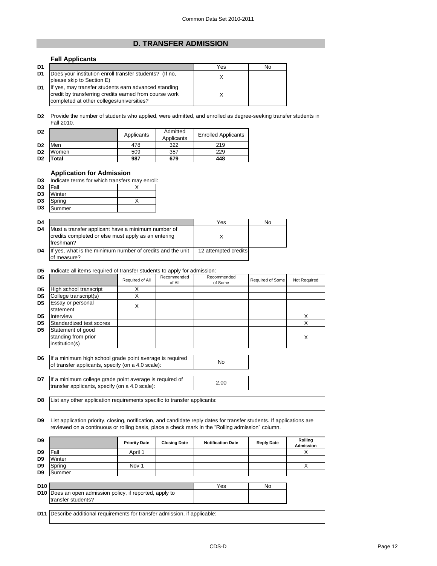# **D. TRANSFER ADMISSION**

# **Fall Applicants**

| D <sub>1</sub> |                                                                                                                                                             | Yes | No |
|----------------|-------------------------------------------------------------------------------------------------------------------------------------------------------------|-----|----|
| D1             | Does your institution enroll transfer students? (If no,<br>please skip to Section E)                                                                        |     |    |
| D1             | If yes, may transfer students earn advanced standing<br>credit by transferring credits earned from course work<br>completed at other colleges/universities? |     |    |

**D2** Provide the number of students who applied, were admitted, and enrolled as degree-seeking transfer students in Fall 2010.

| D <sub>2</sub> |       | Applicants | Admitted<br>Applicants | <b>Enrolled Applicants</b> |
|----------------|-------|------------|------------------------|----------------------------|
| D <sub>2</sub> | Men   | 478        | 322                    | 219                        |
| D <sub>2</sub> | Women | 509        | 357                    | 229                        |
| D <sub>2</sub> | Total | 987        | 679                    | 448                        |

## **Application for Admission**

| <b>D3</b> Indicate terms for which transfers may enroll: |  |
|----------------------------------------------------------|--|
|                                                          |  |

| D <sub>3</sub> | Fall   |  |
|----------------|--------|--|
| D <sub>3</sub> | Winter |  |
| D <sub>3</sub> | Spring |  |
| D <sub>3</sub> | Summer |  |

| D4 |                                                                                                                         | Yes                  | Nο |
|----|-------------------------------------------------------------------------------------------------------------------------|----------------------|----|
| D4 | Must a transfer applicant have a minimum number of<br>credits completed or else must apply as an entering<br>lfreshman? |                      |    |
| D4 | If yes, what is the minimum number of credits and the unit<br>of measure?                                               | 12 attempted credits |    |

#### **D5** Indicate all items required of transfer students to apply for admission:

| D <sub>5</sub> |                                                            | Required of All | Recommended<br>of All | Recommended<br>of Some | Required of Some | Not Required |
|----------------|------------------------------------------------------------|-----------------|-----------------------|------------------------|------------------|--------------|
| D <sub>5</sub> | High school transcript                                     |                 |                       |                        |                  |              |
| D <sub>5</sub> | College transcript(s)                                      |                 |                       |                        |                  |              |
| D <sub>5</sub> | Essay or personal<br>statement                             | Χ               |                       |                        |                  |              |
| D5             | Interview                                                  |                 |                       |                        |                  |              |
| D <sub>5</sub> | Standardized test scores                                   |                 |                       |                        |                  |              |
| D <sub>5</sub> | Statement of good<br>standing from prior<br>institution(s) |                 |                       |                        |                  | Χ            |

- **D6** If a minimum high school grade point average is required<br>
of transfer applicants, aposity (ap a 4.0 scale): of transfer applicants, specify (on a 4.0 scale):
- **D7** If a minimum college grade point average is required of 2.00 transfer applicants, specify (on a 4.0 scale):

**D8** List any other application requirements specific to transfer applicants:

**D9** List application priority, closing, notification, and candidate reply dates for transfer students. If applications are reviewed on a continuous or rolling basis, place a check mark in the "Rolling admission" column.

| D <sub>9</sub> |                                                                                       | <b>Priority Date</b> | <b>Closing Date</b> | <b>Notification Date</b> | <b>Reply Date</b> | <b>Rolling</b><br><b>Admission</b> |
|----------------|---------------------------------------------------------------------------------------|----------------------|---------------------|--------------------------|-------------------|------------------------------------|
| D <sub>9</sub> | Fall                                                                                  | April 1              |                     |                          |                   |                                    |
| D9             | Winter                                                                                |                      |                     |                          |                   |                                    |
| D <sub>9</sub> | Spring                                                                                | Nov 1                |                     |                          |                   | х                                  |
| D <sub>9</sub> | Summer                                                                                |                      |                     |                          |                   |                                    |
|                |                                                                                       |                      |                     |                          |                   |                                    |
| <b>D10</b>     |                                                                                       |                      |                     | Yes                      | No.               |                                    |
|                | <b>D10</b> Does an open admission policy, if reported, apply to<br>transfer students? |                      |                     |                          |                   |                                    |
|                |                                                                                       |                      |                     |                          |                   |                                    |
| <b>D11</b>     | Describe additional requirements for transfer admission, if applicable:               |                      |                     |                          |                   |                                    |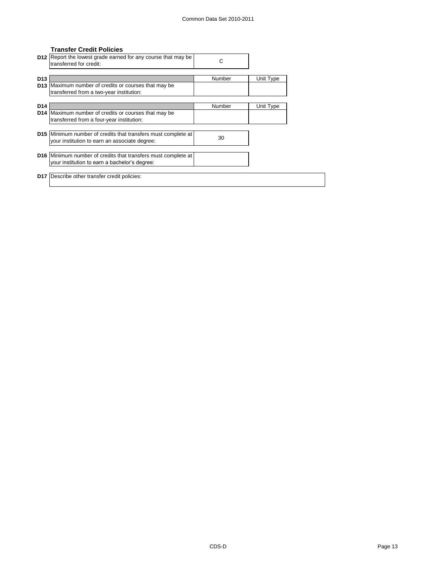## **Transfer Credit Policies**

|                        | D12 Report the lowest grade earned for any course that may be<br>transferred for credit:                       | С      |           |  |
|------------------------|----------------------------------------------------------------------------------------------------------------|--------|-----------|--|
| D <sub>13</sub>        | D13 Maximum number of credits or courses that may be<br>transferred from a two-year institution:               | Number | Unit Type |  |
| D <sub>14</sub><br>D14 | Maximum number of credits or courses that may be<br>transferred from a four-year institution:                  | Number | Unit Type |  |
|                        | D15 Minimum number of credits that transfers must complete at<br>your institution to earn an associate degree: | 30     |           |  |
|                        | D16 Minimum number of credits that transfers must complete at<br>your institution to earn a bachelor's degree: |        |           |  |
| <b>D17</b>             | Describe other transfer credit policies:                                                                       |        |           |  |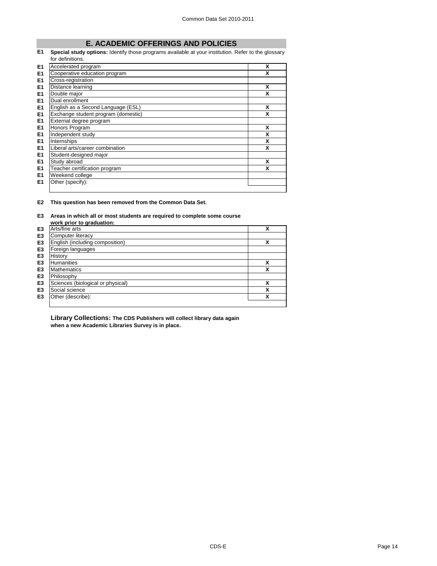# **E. ACADEMIC OFFERINGS AND POLICIES**

**E1 Special study options:** Identify those programs available at your institution. Refer to the glossary for definitions.

| E <sub>1</sub> | Accelerated program                 | X |
|----------------|-------------------------------------|---|
| E <sub>1</sub> | Cooperative education program       | X |
| E <sub>1</sub> | Cross-registration                  |   |
| E <sub>1</sub> | Distance learning                   | X |
| E <sub>1</sub> | Double major                        | X |
| E <sub>1</sub> | Dual enrollment                     |   |
| E <sub>1</sub> | English as a Second Language (ESL)  | X |
| E1             | Exchange student program (domestic) | X |
| E <sub>1</sub> | External degree program             |   |
| E <sub>1</sub> | Honors Program                      | X |
| E <sub>1</sub> | Independent study                   | X |
| E <sub>1</sub> | Internships                         | X |
| E <sub>1</sub> | Liberal arts/career combination     | X |
| E <sub>1</sub> | Student-designed major              |   |
| E <sub>1</sub> | Study abroad                        | X |
| E <sub>1</sub> | Teacher certification program       | X |
| E <sub>1</sub> | Weekend college                     |   |
| E1             | Other (specify):                    |   |
|                |                                     |   |

**E2 This question has been removed from the Common Data Set.**

## **E3 Areas in which all or most students are required to complete some course**

|                | work prior to graduation:         |   |
|----------------|-----------------------------------|---|
| E <sub>3</sub> | Arts/fine arts                    | x |
| E <sub>3</sub> | Computer literacy                 |   |
| E <sub>3</sub> | English (including composition)   | χ |
| E <sub>3</sub> | Foreign languages                 |   |
| E <sub>3</sub> | History                           |   |
| E <sub>3</sub> | <b>Humanities</b>                 | χ |
| E <sub>3</sub> | <b>Mathematics</b>                | χ |
| E <sub>3</sub> | Philosophy                        |   |
| E <sub>3</sub> | Sciences (biological or physical) | x |
| E <sub>3</sub> | Social science                    | χ |
| E <sub>3</sub> | Other (describe):                 | χ |
|                |                                   |   |

**Library Collections: The CDS Publishers will collect library data again when a new Academic Libraries Survey is in place.**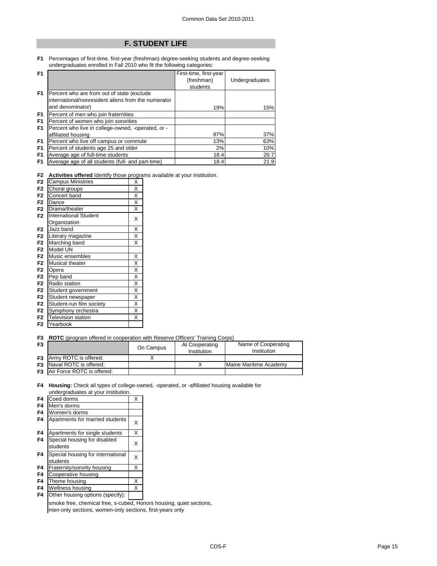# **F. STUDENT LIFE**

## **F1** Percentages of first-time, first-year (freshman) degree-seeking students and degree-seeking undergraduates enrolled in Fall 2010 who fit the following categories:

| F <sub>1</sub> |                                                     | First-time, first-year |                |
|----------------|-----------------------------------------------------|------------------------|----------------|
|                |                                                     | (freshman)             | Undergraduates |
|                |                                                     | students               |                |
| F <sub>1</sub> | Percent who are from out of state (exclude          |                        |                |
|                | international/nonresident aliens from the numerator |                        |                |
|                | and denominator)                                    | 19%                    | 15%            |
| F <sub>1</sub> | Percent of men who join fraternities                |                        |                |
| F <sub>1</sub> | Percent of women who join sororities                |                        |                |
| F <sub>1</sub> | Percent who live in college-owned, -operated, or -  |                        |                |
|                | affiliated housing                                  | 87%                    | 37%            |
| F <sub>1</sub> | Percent who live off campus or commute              | 13%                    | 63%            |
| F <sub>1</sub> | Percent of students age 25 and older                | 2%                     | 10%            |
| F <sub>1</sub> | Average age of full-time students                   | 18.4                   | 20.7           |
| F <sub>1</sub> | Average age of all students (full- and part-time)   | 18.4                   | 21.9           |

**F2 Activities offered** Identify those programs available at your institution.

| F <sub>2</sub> | <b>Campus Ministries</b>     |                         |  |  |
|----------------|------------------------------|-------------------------|--|--|
| F <sub>2</sub> | Choral groups                |                         |  |  |
| F <sub>2</sub> | Concert band                 | X                       |  |  |
| F <sub>2</sub> | Dance                        | X                       |  |  |
| F <sub>2</sub> | Drama/theater                | X                       |  |  |
| F <sub>2</sub> | <b>International Student</b> | Χ                       |  |  |
|                | Organization                 |                         |  |  |
| F <sub>2</sub> | Jazz band                    | $\overline{\mathsf{x}}$ |  |  |
| F <sub>2</sub> | Literary magazine            | X                       |  |  |
| F <sub>2</sub> | Marching band                | X                       |  |  |
| F <sub>2</sub> | Model UN                     |                         |  |  |
| F <sub>2</sub> | Music ensembles              | X                       |  |  |
| F <sub>2</sub> | Musical theater              | $\overline{\mathsf{x}}$ |  |  |
| F <sub>2</sub> | Opera                        | Χ                       |  |  |
| F <sub>2</sub> | Pep band                     | $\overline{\mathsf{x}}$ |  |  |
| F <sub>2</sub> | Radio station                | X                       |  |  |
| F <sub>2</sub> | Student government           | X                       |  |  |
| F <sub>2</sub> | Student newspaper            | X                       |  |  |
| F <sub>2</sub> | Student-run film society     | X                       |  |  |
| F <sub>2</sub> | Symphony orchestra           | X                       |  |  |
| F <sub>2</sub> | <b>Television station</b>    | X                       |  |  |
| F <sub>2</sub> | Yearbook                     |                         |  |  |

#### **F3 ROTC** (program offered in cooperation with Reserve Officers' Training Corps)

| F <sub>3</sub> |                                      | On Campus | At Cooperating<br>Institution | Name of Cooperating<br>Institution |
|----------------|--------------------------------------|-----------|-------------------------------|------------------------------------|
|                | <b>F3</b> Army ROTC is offered:      |           |                               |                                    |
|                | <b>F3</b> Naval ROTC is offered:     |           |                               | Maine Maritime Academy             |
|                | <b>F3</b> Air Force ROTC is offered: |           |                               |                                    |

**F4 Housing:** Check all types of college-owned, -operated, or -affiliated housing available for undergraduates at your institution.

| F4             | Coed dorms                                              | Χ |
|----------------|---------------------------------------------------------|---|
| F4             | Men's dorms                                             |   |
| F4             | Women's dorms                                           |   |
| F4             | Apartments for married students                         | х |
| F4             | Apartments for single students                          | Χ |
| F4             | Special housing for disabled<br>students                | x |
| F4             | Special housing for international<br>students           | Χ |
| F4             | Fraternity/sorority housing                             | X |
| F4             | Cooperative housing                                     |   |
| F <sub>4</sub> | Theme housing                                           | Χ |
| F4             | Wellness housing                                        | Χ |
|                | $\sim$ $\sim$ $\sim$<br>$\cdot$ . $\cdot$<br>$\sqrt{2}$ |   |

**F4** Other housing options (specify):

smoke free, chemical free, s-cubed, Honors housing, quiet sections, men-only sections, women-only sections, first-years only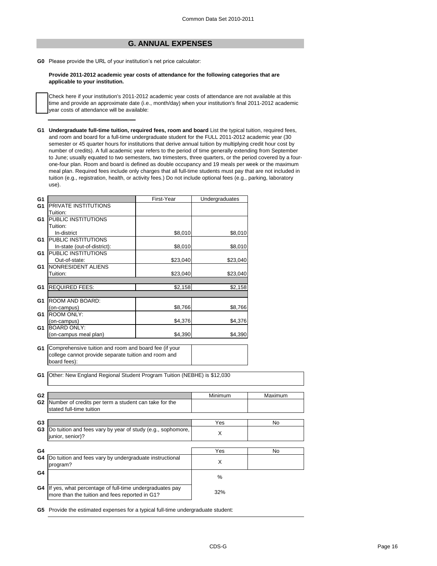# **G. ANNUAL EXPENSES**

**G0** Please provide the URL of your institution's net price calculator:

**Provide 2011-2012 academic year costs of attendance for the following categories that are applicable to your institution.**

Check here if your institution's 2011-2012 academic year costs of attendance are not available at this time and provide an approximate date (i.e., month/day) when your institution's final 2011-2012 academic year costs of attendance will be available:

**G1 Undergraduate full-time tuition, required fees, room and board** List the typical tuition, required fees, and room and board for a full-time undergraduate student for the FULL 2011-2012 academic year (30 semester or 45 quarter hours for institutions that derive annual tuition by multiplying credit hour cost by number of credits). A full academic year refers to the period of time generally extending from September to June; usually equated to two semesters, two trimesters, three quarters, or the period covered by a fourone-four plan. Room and board is defined as double occupancy and 19 meals per week or the maximum meal plan. Required fees include only charges that all full-time students must pay that are not included in tuition (e.g., registration, health, or activity fees.) Do not include optional fees (e.g., parking, laboratory use).

| G <sub>1</sub> |                                                                         | First-Year | Undergraduates |         |
|----------------|-------------------------------------------------------------------------|------------|----------------|---------|
| G <sub>1</sub> | PRIVATE INSTITUTIONS                                                    |            |                |         |
|                | Tuition:                                                                |            |                |         |
| G <sub>1</sub> | PUBLIC INSTITUTIONS                                                     |            |                |         |
|                | Tuition:                                                                |            |                |         |
|                | In-district                                                             | \$8,010    | \$8,010        |         |
| G <sub>1</sub> | PUBLIC INSTITUTIONS                                                     |            |                |         |
|                | In-state (out-of-district):                                             | \$8,010    | \$8,010        |         |
| G1             | PUBLIC INSTITUTIONS                                                     |            |                |         |
|                | Out-of-state:                                                           | \$23,040   | \$23,040       |         |
| G1             | NONRESIDENT ALIENS                                                      |            |                |         |
|                | Tuition:                                                                | \$23,040   | \$23,040       |         |
|                |                                                                         |            |                |         |
| G1             | <b>REQUIRED FEES:</b>                                                   | \$2,158    | \$2,158        |         |
|                |                                                                         |            |                |         |
| G <sub>1</sub> | ROOM AND BOARD:                                                         |            |                |         |
|                | (on-campus)                                                             | \$8,766    | \$8,766        |         |
| G <sub>1</sub> | <b>ROOM ONLY:</b>                                                       |            |                |         |
|                | (on-campus)                                                             | \$4,376    | \$4,376        |         |
| G <sub>1</sub> | <b>BOARD ONLY:</b>                                                      |            |                |         |
|                | (on-campus meal plan)                                                   | \$4,390    | \$4,390        |         |
|                |                                                                         |            |                |         |
| G <sub>1</sub> | Comprehensive tuition and room and board fee (if your                   |            |                |         |
|                | college cannot provide separate tuition and room and                    |            |                |         |
|                | board fees):                                                            |            |                |         |
|                |                                                                         |            |                |         |
| G <sub>1</sub> | Other: New England Regional Student Program Tuition (NEBHE) is \$12,030 |            |                |         |
|                |                                                                         |            |                |         |
|                |                                                                         |            |                |         |
| G <sub>2</sub> |                                                                         |            | Minimum        | Maximum |
| G <sub>2</sub> | Number of credits per term a student can take for the                   |            |                |         |
|                | stated full-time tuition                                                |            |                |         |
|                |                                                                         |            |                |         |
| G <sub>3</sub> |                                                                         |            | Yes            | No      |
| G <sub>3</sub> | Do tuition and fees vary by year of study (e.g., sophomore,             |            |                |         |
|                | junior, senior)?                                                        |            | X              |         |
|                |                                                                         |            |                |         |
| G4             |                                                                         |            | Yes            | No      |
| G4             | Do tuition and fees vary by undergraduate instructional                 |            |                |         |
|                | program?                                                                |            | X              |         |
| G4             |                                                                         |            |                |         |
|                |                                                                         |            | $\%$           |         |
|                |                                                                         |            |                |         |
| G4             | If yes, what percentage of full-time undergraduates pay                 |            | 32%            |         |
|                | more than the tuition and fees reported in G1?                          |            |                |         |
|                |                                                                         |            |                |         |

**G5** Provide the estimated expenses for a typical full-time undergraduate student: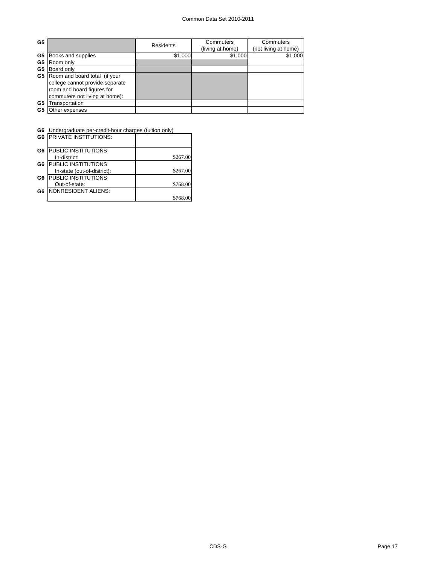| G <sub>5</sub> |                                 | <b>Residents</b> | Commuters<br>(living at home) | Commuters<br>(not living at home) |
|----------------|---------------------------------|------------------|-------------------------------|-----------------------------------|
| G5             | Books and supplies              | \$1,000          | \$1,000                       | \$1,000                           |
| G <sub>5</sub> | Room only                       |                  |                               |                                   |
| G5             | Board only                      |                  |                               |                                   |
| G5             | Room and board total (if your   |                  |                               |                                   |
|                | college cannot provide separate |                  |                               |                                   |
|                | room and board figures for      |                  |                               |                                   |
|                | commuters not living at home):  |                  |                               |                                   |
| G <sub>5</sub> | ransportation                   |                  |                               |                                   |
| G5             | Other expenses                  |                  |                               |                                   |

 $\overline{\phantom{0}}$ 

**G6** Undergraduate per-credit-hour charges (tuition only)

|                | <b>G6 PRIVATE INSTITUTIONS:</b> |          |
|----------------|---------------------------------|----------|
| G <sub>6</sub> | <b>PUBLIC INSTITUTIONS</b>      |          |
|                | In-district:                    | \$267.00 |
| G6             | <b>PUBLIC INSTITUTIONS</b>      |          |
|                | In-state (out-of-district):     | \$267.00 |
| G <sub>6</sub> | <b>PUBLIC INSTITUTIONS</b>      |          |
|                | Out-of-state:                   | \$768.00 |
| G <sub>6</sub> | NONRESIDENT ALIENS:             |          |
|                |                                 | \$768.0  |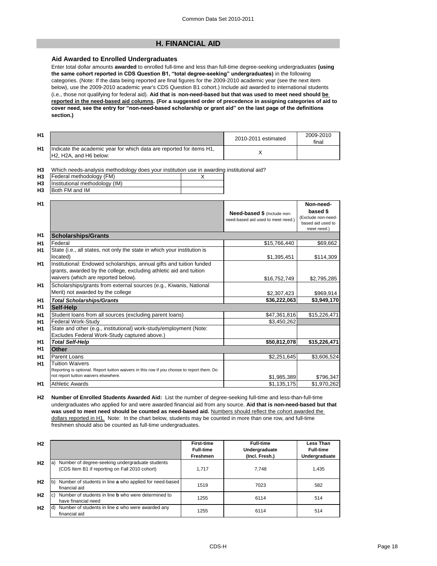# **H. FINANCIAL AID**

## **Aid Awarded to Enrolled Undergraduates**

Enter total dollar amounts **awarded** to enrolled full-time and less than full-time degree-seeking undergraduates **(using the same cohort reported in CDS Question B1, "total degree-seeking" undergraduates)** in the following categories. (Note: If the data being reported are final figures for the 2009-2010 academic year (see the next item below), use the 2009-2010 academic year's CDS Question B1 cohort.) Include aid awarded to international students (i.e., those not qualifying for federal aid). **Aid that is non-need-based but that was used to meet need should be reported in the need-based aid columns. (For a suggested order of precedence in assigning categories of aid to cover need, see the entry for "non-need-based scholarship or grant aid" on the last page of the definitions section.)**

| H1 |                                                                                                                                      | 2010-2011 estimated | 2009-2010<br>final |
|----|--------------------------------------------------------------------------------------------------------------------------------------|---------------------|--------------------|
| H1 | Indicate the academic year for which data are reported for items H1,<br>H <sub>2</sub> , H <sub>2</sub> A, and H <sub>6</sub> below: |                     |                    |

**H3** Which needs-analysis methodology does your institution use in awarding institutional aid?

| H <sub>3</sub> | Federal methodology (FM)            |  |
|----------------|-------------------------------------|--|
|                | H3   Institutional methodology (IM) |  |
| H <sub>3</sub> | <b>IBoth FM and IM</b>              |  |

| H1             |                                                                                                                                                                                   | Need-based \$ (Include non-<br>need-based aid used to meet need.) | Non-need-<br>based \$<br>(Exclude non-need- |
|----------------|-----------------------------------------------------------------------------------------------------------------------------------------------------------------------------------|-------------------------------------------------------------------|---------------------------------------------|
|                |                                                                                                                                                                                   |                                                                   | based aid used to<br>meet need.)            |
| H <sub>1</sub> | <b>Scholarships/Grants</b>                                                                                                                                                        |                                                                   |                                             |
| H1             | Federal                                                                                                                                                                           | \$15,766,440                                                      | \$69,662                                    |
| H1             | State (i.e., all states, not only the state in which your institution is<br>located)                                                                                              | \$1,395,451                                                       | \$114,309                                   |
| H <sub>1</sub> | Institutional: Endowed scholarships, annual gifts and tuition funded<br>grants, awarded by the college, excluding athletic aid and tuition<br>waivers (which are reported below). | \$16,752,749                                                      | \$2,795,285                                 |
| H1             | Scholarships/grants from external sources (e.g., Kiwanis, National<br>Merit) not awarded by the college                                                                           | \$2,307,423                                                       | \$969,914                                   |
| H <sub>1</sub> | <b>Total Scholarships/Grants</b>                                                                                                                                                  | \$36,222,063                                                      | \$3,949,170                                 |
| H <sub>1</sub> | <b>Self-Help</b>                                                                                                                                                                  |                                                                   |                                             |
| H1             | Student loans from all sources (excluding parent loans)                                                                                                                           | \$47,361,816                                                      | \$15,226,471                                |
| H1             | <b>Federal Work-Study</b>                                                                                                                                                         | \$3,450,262                                                       |                                             |
| H1             | State and other (e.g., institutional) work-study/employment (Note:<br>Excludes Federal Work-Study captured above.)                                                                |                                                                   |                                             |
| H <sub>1</sub> | <b>Total Self-Help</b>                                                                                                                                                            | \$50,812,078                                                      | \$15,226,471                                |
| H1             | <b>Other</b>                                                                                                                                                                      |                                                                   |                                             |
| H1             | <b>Parent Loans</b>                                                                                                                                                               | \$2,251,645                                                       | \$3,606,524                                 |
| H1             | <b>Tuition Waivers</b><br>Reporting is optional. Report tuition waivers in this row if you choose to report them. Do<br>not report tuition waivers elsewhere.                     | \$1,985,389                                                       | \$796,347                                   |
| H <sub>1</sub> | <b>Athletic Awards</b>                                                                                                                                                            | \$1,135,175                                                       | \$1,970,262                                 |

**H2 Number of Enrolled Students Awarded Aid:** List the number of degree-seeking full-time and less-than-full-time undergraduates who applied for and were awarded financial aid from any source. **Aid that is non-need-based but that was used to meet need should be counted as need-based aid.** Numbers should reflect the cohort awarded the dollars reported in H1. Note: In the chart below, students may be counted in more than one row, and full-time freshmen should also be counted as full-time undergraduates.

| H <sub>2</sub> |                                                                                                          | <b>First-time</b><br><b>Full-time</b><br><b>Freshmen</b> | <b>Full-time</b><br>Undergraduate<br>(Incl. Fresh.) | Less Than<br><b>Full-time</b><br>Undergraduate |
|----------------|----------------------------------------------------------------------------------------------------------|----------------------------------------------------------|-----------------------------------------------------|------------------------------------------------|
| H <sub>2</sub> | Number of degree-seeking undergraduate students<br>la)<br>(CDS Item B1 if reporting on Fall 2010 cohort) | 1,717                                                    | 7.748                                               | 1,435                                          |
| H <sub>2</sub> | Number of students in line a who applied for need-based<br>lb)<br>financial aid                          | 1519                                                     | 7023                                                | 582                                            |
| H <sub>2</sub> | Number of students in line <b>b</b> who were determined to<br>lc)<br>have financial need                 | 1255                                                     | 6114                                                | 514                                            |
| H <sub>2</sub> | Number of students in line c who were awarded any<br>ld)<br>financial aid                                | 1255                                                     | 6114                                                | 514                                            |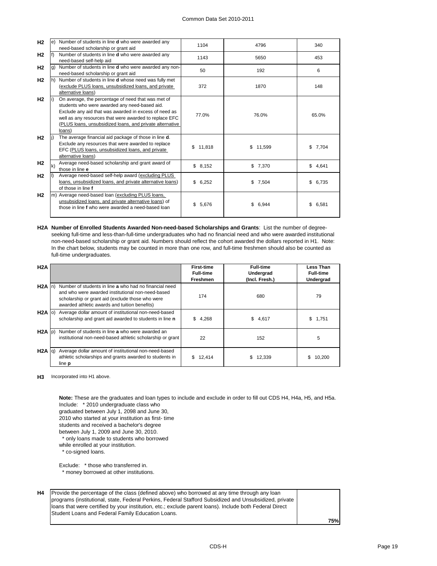| H <sub>2</sub> |     | e) Number of students in line <b>d</b> who were awarded any<br>need-based scholarship or grant aid                                                                                                                                                                                           | 1104         | 4796        | 340         |  |
|----------------|-----|----------------------------------------------------------------------------------------------------------------------------------------------------------------------------------------------------------------------------------------------------------------------------------------------|--------------|-------------|-------------|--|
| H <sub>2</sub> | lf) | Number of students in line d who were awarded any<br>need-based self-help aid                                                                                                                                                                                                                | 1143         | 5650        | 453         |  |
| H <sub>2</sub> | lg) | Number of students in line d who were awarded any non-<br>need-based scholarship or grant aid                                                                                                                                                                                                | 50           | 192         | 6           |  |
| H <sub>2</sub> | lh) | Number of students in line d whose need was fully met<br>(exclude PLUS loans, unsubsidized loans, and private<br>alternative loans)                                                                                                                                                          | 372          | 1870        | 148         |  |
| H <sub>2</sub> | li) | On average, the percentage of need that was met of<br>students who were awarded any need-based aid.<br>Exclude any aid that was awarded in excess of need as<br>well as any resources that were awarded to replace EFC<br>(PLUS loans, unsubsidized loans, and private alternative<br>loans) | 77.0%        | 76.0%       | 65.0%       |  |
| H <sub>2</sub> | li) | The average financial aid package of those in line d.<br>Exclude any resources that were awarded to replace<br>EFC (PLUS loans, unsubsidized loans, and private<br>alternative loans)                                                                                                        | \$<br>11,818 | \$11,599    | \$<br>7,704 |  |
| H <sub>2</sub> | k)  | Average need-based scholarship and grant award of<br>those in line e                                                                                                                                                                                                                         | \$8,152      | \$7,370     | \$4,641     |  |
| H <sub>2</sub> |     | Average need-based self-help award (excluding PLUS<br>loans, unsubsidized loans, and private alternative loans)<br>of those in line f                                                                                                                                                        | \$6,252      | \$<br>7,504 | \$<br>6,735 |  |
| H <sub>2</sub> |     | m) Average need-based loan (excluding PLUS loans,<br>unsubsidized loans, and private alternative loans) of<br>those in line f who were awarded a need-based loan                                                                                                                             | \$<br>5,676  | \$6,944     | \$<br>6,581 |  |

**H2A Number of Enrolled Students Awarded Non-need-based Scholarships and Grants**: List the number of degreeseeking full-time and less-than-full-time undergraduates who had no financial need and who were awarded institutional non-need-based scholarship or grant aid. Numbers should reflect the cohort awarded the dollars reported in H1. Note: In the chart below, students may be counted in more than one row, and full-time freshmen should also be counted as full-time undergraduates.

| H2A               |                                                                                                                                                                                                                  | <b>First-time</b><br><b>Full-time</b><br><b>Freshmen</b> | <b>Full-time</b><br><b>Undergrad</b><br>(Incl. Fresh.) | Less Than<br><b>Full-time</b><br><b>Undergrad</b> |  |
|-------------------|------------------------------------------------------------------------------------------------------------------------------------------------------------------------------------------------------------------|----------------------------------------------------------|--------------------------------------------------------|---------------------------------------------------|--|
| $H2A$ In)         | Number of students in line a who had no financial need<br>and who were awarded institutional non-need-based<br>scholarship or grant aid (exclude those who were<br>awarded athletic awards and tuition benefits) | 174                                                      | 680                                                    | 79                                                |  |
| $H2A$ (0)         | Average dollar amount of institutional non-need-based<br>scholarship and grant aid awarded to students in line n                                                                                                 | \$4,268                                                  | \$4,617                                                | \$<br>1,751                                       |  |
| $H2A$ $ p\rangle$ | Number of students in line a who were awarded an<br>institutional non-need-based athletic scholarship or grant                                                                                                   | 22                                                       | 152                                                    | 5                                                 |  |
| H2A  q            | Average dollar amount of institutional non-need-based<br>athletic scholarships and grants awarded to students in<br>line <b>p</b>                                                                                | 12,414<br>S.                                             | 12,339                                                 | \$<br>10,200                                      |  |

**H3** Incorporated into H1 above.

**Note:** These are the graduates and loan types to include and exclude in order to fill out CDS H4, H4a, H5, and H5a.

Include: \* 2010 undergraduate class who

graduated between July 1, 2098 and June 30, 2010 who started at your institution as first- time

students and received a bachelor's degree

between July 1, 2009 and June 30, 2010.

\* only loans made to students who borrowed

while enrolled at your institution.

\* co-signed loans.

Exclude: \* those who transferred in.

\* money borrowed at other institutions.

| <b>H4</b> Provide the percentage of the class (defined above) who borrowed at any time through any loan  |            |
|----------------------------------------------------------------------------------------------------------|------------|
| programs (institutional, state, Federal Perkins, Federal Stafford Subsidized and Unsubsidized, private   |            |
| Iloans that were certified by your institution, etc.; exclude parent loans). Include both Federal Direct |            |
| Student Loans and Federal Family Education Loans.                                                        |            |
|                                                                                                          | <b>75%</b> |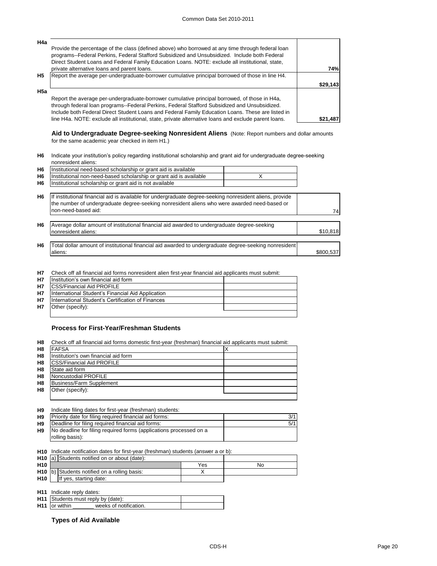| H <sub>4a</sub> |                                                                                                                                                                                                                                                                                                     |            |
|-----------------|-----------------------------------------------------------------------------------------------------------------------------------------------------------------------------------------------------------------------------------------------------------------------------------------------------|------------|
|                 | Provide the percentage of the class (defined above) who borrowed at any time through federal loan<br>programs--Federal Perkins, Federal Stafford Subsidized and Unsubsidized. Include both Federal                                                                                                  |            |
|                 | Direct Student Loans and Federal Family Education Loans. NOTE: exclude all institutional, state,                                                                                                                                                                                                    |            |
|                 | private alternative loans and parent loans.                                                                                                                                                                                                                                                         | <b>74%</b> |
| H <sub>5</sub>  | Report the average per-undergraduate-borrower cumulative principal borrowed of those in line H4.                                                                                                                                                                                                    |            |
|                 |                                                                                                                                                                                                                                                                                                     | \$29,143   |
| H5a             |                                                                                                                                                                                                                                                                                                     |            |
|                 | Report the average per-undergraduate-borrower cumulative principal borrowed, of those in H4a,<br>through federal loan programs--Federal Perkins, Federal Stafford Subsidized and Unsubsidized.<br>Include both Federal Direct Student Loans and Federal Family Education Loans. These are listed in |            |
|                 | line H4a. NOTE: exclude all institutional, state, private alternative loans and exclude parent loans.                                                                                                                                                                                               | \$21,487   |

**Aid to Undergraduate Degree-seeking Nonresident Aliens** (Note: Report numbers and dollar amounts for the same academic year checked in item H1.)

**H6** Indicate your institution's policy regarding institutional scholarship and grant aid for undergraduate degree-seeking nonresident aliens:

| H <sub>6</sub> | Institutional need-based scholarship or grant aid is available                                                                                                                                           |           |
|----------------|----------------------------------------------------------------------------------------------------------------------------------------------------------------------------------------------------------|-----------|
| H <sub>6</sub> | Institutional non-need-based scholarship or grant aid is available                                                                                                                                       |           |
| H <sub>6</sub> | Institutional scholarship or grant aid is not available                                                                                                                                                  |           |
| H <sub>6</sub> | If institutional financial aid is available for undergraduate degree-seeking nonresident aliens, provide<br>the number of undergraduate degree-seeking nonresident aliens who were awarded need-based or |           |
|                | non-need-based aid:                                                                                                                                                                                      | 74        |
| H <sub>6</sub> | Average dollar amount of institutional financial aid awarded to undergraduate degree-seeking                                                                                                             |           |
|                | nonresident aliens:                                                                                                                                                                                      | \$10,818  |
|                |                                                                                                                                                                                                          |           |
| H <sub>6</sub> | Total dollar amount of institutional financial aid awarded to undergraduate degree-seeking nonresident                                                                                                   |           |
|                | aliens:                                                                                                                                                                                                  | \$800,537 |

**H7** Check off all financial aid forms nonresident alien first-year financial aid applicants must submit:

| <b>H7</b> | Institution's own financial aid form              |  |
|-----------|---------------------------------------------------|--|
| <b>H7</b> | <b>ICSS/Financial Aid PROFILE</b>                 |  |
| <b>H7</b> | International Student's Financial Aid Application |  |
| <b>H7</b> | International Student's Certification of Finances |  |
| <b>H7</b> | Other (specify):                                  |  |
|           |                                                   |  |

## **Process for First-Year/Freshman Students**

| H <sub>8</sub> | Check off all financial aid forms domestic first-year (freshman) financial aid applicants must submit: |  |
|----------------|--------------------------------------------------------------------------------------------------------|--|
| H <sub>8</sub> | <b>FAFSA</b>                                                                                           |  |
| H <sub>8</sub> | Institution's own financial aid form                                                                   |  |
| H <sub>8</sub> | <b>CSS/Financial Aid PROFILE</b>                                                                       |  |
| H <sub>8</sub> | State aid form                                                                                         |  |
| H <sub>8</sub> | Noncustodial PROFILE                                                                                   |  |
| H <sub>8</sub> | <b>Business/Farm Supplement</b>                                                                        |  |
| H <sub>8</sub> | Other (specify):                                                                                       |  |
|                |                                                                                                        |  |

**H9 H9** 3/1 Priority date for filing required financial aid forms: **H9** Deadline for filing required financial aid forms: **Fig. 1** and  $\overline{5/1}$ **H9** Indicate filing dates for first-year (freshman) students: No deadline for filing required forms (applications processed on a rolling basis):

**H10** Indicate notification dates for first-year (freshman) students (answer a or b):

|                 | H <sub>10</sub> (a) Students notified on or about (date): |     |    |
|-----------------|-----------------------------------------------------------|-----|----|
| H <sub>10</sub> |                                                           | Yes | Nc |
|                 | H <sub>10</sub> b) Students notified on a rolling basis:  |     |    |
| <b>H10</b>      | If yes, starting date:                                    |     |    |
|                 |                                                           |     |    |

**H11** Indicate reply dates: **H11** Students must reply by (date): H11 or within \_ weeks of notification.

**Types of Aid Available**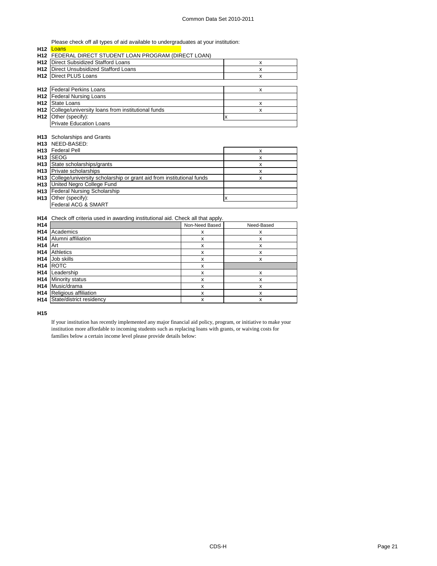Please check off all types of aid available to undergraduates at your institution:

| H12             | Loans                                                                        |                    |                    |  |  |  |  |  |
|-----------------|------------------------------------------------------------------------------|--------------------|--------------------|--|--|--|--|--|
|                 | H12 FEDERAL DIRECT STUDENT LOAN PROGRAM (DIRECT LOAN)                        |                    |                    |  |  |  |  |  |
|                 | H12   Direct Subsidized Stafford Loans                                       |                    | x                  |  |  |  |  |  |
|                 | H12   Direct Unsubsidized Stafford Loans                                     |                    | X.                 |  |  |  |  |  |
|                 | H12   Direct PLUS Loans                                                      |                    | X                  |  |  |  |  |  |
|                 |                                                                              |                    |                    |  |  |  |  |  |
|                 | <b>H12</b> Federal Perkins Loans                                             |                    | X                  |  |  |  |  |  |
| H <sub>12</sub> | <b>Federal Nursing Loans</b>                                                 |                    |                    |  |  |  |  |  |
|                 | H <sub>12</sub> State Loans                                                  |                    | x                  |  |  |  |  |  |
|                 | H12 College/university loans from institutional funds                        |                    | X                  |  |  |  |  |  |
|                 | H12 Other (specify):                                                         |                    | $\pmb{\mathsf{x}}$ |  |  |  |  |  |
|                 | <b>Private Education Loans</b>                                               |                    |                    |  |  |  |  |  |
|                 |                                                                              |                    |                    |  |  |  |  |  |
|                 | H13 Scholarships and Grants                                                  |                    |                    |  |  |  |  |  |
| H13             | NEED-BASED:                                                                  |                    |                    |  |  |  |  |  |
|                 | H13 Federal Pell<br>$\pmb{\mathsf{x}}$                                       |                    |                    |  |  |  |  |  |
| H <sub>13</sub> | <b>SEOG</b>                                                                  |                    | X                  |  |  |  |  |  |
|                 | H13 State scholarships/grants                                                | X                  |                    |  |  |  |  |  |
|                 | H <sub>13</sub> Private scholarships                                         | X                  |                    |  |  |  |  |  |
|                 | H13 College/university scholarship or grant aid from institutional funds     | x                  |                    |  |  |  |  |  |
|                 | H13 United Negro College Fund                                                |                    |                    |  |  |  |  |  |
|                 | H13 Federal Nursing Scholarship                                              |                    |                    |  |  |  |  |  |
|                 | H13 Other (specify):                                                         |                    | X                  |  |  |  |  |  |
|                 | Federal ACG & SMART                                                          |                    |                    |  |  |  |  |  |
|                 |                                                                              |                    |                    |  |  |  |  |  |
| H14             | Check off criteria used in awarding institutional aid. Check all that apply. |                    |                    |  |  |  |  |  |
| H <sub>14</sub> |                                                                              | Non-Need Based     | Need-Based         |  |  |  |  |  |
| H <sub>14</sub> | Academics                                                                    | $\pmb{\mathsf{x}}$ | x                  |  |  |  |  |  |
| H <sub>14</sub> | Alumni affiliation                                                           | x                  | X                  |  |  |  |  |  |
| H <sub>14</sub> | Art                                                                          | $\mathsf{x}$       | X                  |  |  |  |  |  |
| H <sub>14</sub> | <b>Athletics</b>                                                             | x                  | x                  |  |  |  |  |  |
| H <sub>14</sub> | Job skills                                                                   | X                  | x                  |  |  |  |  |  |
| H <sub>14</sub> | <b>ROTC</b>                                                                  | x                  |                    |  |  |  |  |  |
| H <sub>14</sub> | Leadership                                                                   | X                  | x                  |  |  |  |  |  |
| H <sub>14</sub> | <b>Minority status</b>                                                       | $\pmb{\mathsf{x}}$ | x                  |  |  |  |  |  |
| H <sub>14</sub> | Music/drama                                                                  | x                  | X                  |  |  |  |  |  |
|                 | H14 Religious affiliation                                                    | X                  | X                  |  |  |  |  |  |

**H15**

If your institution has recently implemented any major financial aid policy, program, or initiative to make your institution more affordable to incoming students such as replacing loans with grants, or waiving costs for families below a certain income level please provide details below:

**H14** State/district residency the state of the state of the state of the state of the state of the state of the state of the state of the state of the state of the state of the state of the state of the state of the state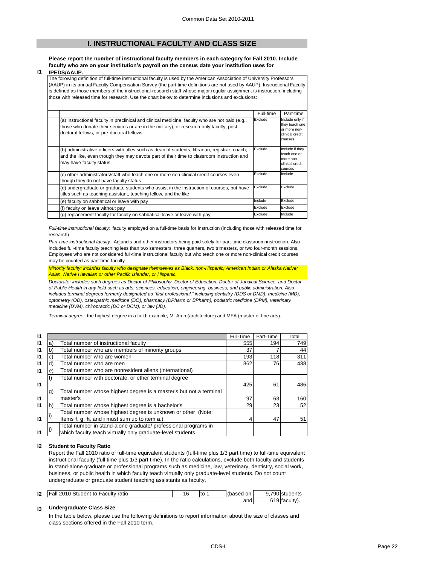# **I. INSTRUCTIONAL FACULTY AND CLASS SIZE**

## **Please report the number of instructional faculty members in each category for Fall 2010. Include faculty who are on your institution's payroll on the census date your institution uses for**

**I1 IPEDS/AAUP.**

> The following definition of full-time instructional faculty is used by the American Association of University Professors (AAUP) in its annual Faculty Compensation Survey (the part time definitions are not used by AAUP). Instructional Faculty is defined as those members of the instructional-research staff whose major regular assignment is instruction, including those with released time for research. Use the chart below to determine inclusions and exclusions:

|                                                                                                                                                                                                                                          | Full-time | Part-time                                                                       |
|------------------------------------------------------------------------------------------------------------------------------------------------------------------------------------------------------------------------------------------|-----------|---------------------------------------------------------------------------------|
| (a) instructional faculty in preclinical and clinical medicine, faculty who are not paid (e.g.,<br>those who donate their services or are in the military), or research-only faculty, post-<br>doctoral fellows, or pre-doctoral fellows | Exclude   | Include only if<br>they teach one<br>or more non-<br>clinical credit<br>courses |
| (b) administrative officers with titles such as dean of students, librarian, registrar, coach,<br>and the like, even though they may devote part of their time to classroom instruction and<br>may have faculty status                   | Exclude   | Include if they<br>teach one or<br>more non-<br>clinical credit<br>courses      |
| (c) other administrators/staff who teach one or more non-clinical credit courses even<br>though they do not have faculty status                                                                                                          | Exclude   | Include                                                                         |
| (d) undergraduate or graduate students who assist in the instruction of courses, but have<br>titles such as teaching assistant, teaching fellow, and the like                                                                            | Exclude   | Exclude                                                                         |
| (e) faculty on sabbatical or leave with pay                                                                                                                                                                                              | Include   | Exclude                                                                         |
| (f) faculty on leave without pay                                                                                                                                                                                                         | Exclude   | Exclude                                                                         |
| (g) replacement faculty for faculty on sabbatical leave or leave with pay                                                                                                                                                                | Exclude   | Include                                                                         |

*Full-time instructional faculty:* faculty employed on a full-time basis for instruction (including those with released time for research)

*Part-time instructional faculty:* Adjuncts and other instructors being paid solely for part-time classroom instruction. Also includes full-time faculty teaching less than two semesters, three quarters, two trimesters, or two four-month sessions. Employees who are not considered full-time instructional faculty but who teach one or more non-clinical credit courses may be counted as part-time faculty.

*Minority faculty: includes faculty who designate themselves as Black, non-Hispanic; American Indian or Alaska Native; Asian, Native Hawaiian or other Pacific Islander, or Hispanic.* 

*Doctorate: includes such degrees as Doctor of Philosophy, Doctor of Education, Doctor of Juridical Science, and Doctor of Public Health in any field such as arts, sciences, education, engineering, business, and public administration. Also includes terminal degrees formerly designated as "first professional," including dentistry (DDS or DMD), medicine (MD), optometry (OD), osteopathic medicine (DO), pharmacy (DPharm or BPharm), podiatric medicine (DPM), veterinary medicine (DVM), chiropractic (DC or DCM), or law (JD).*

*Terminal degree:* the highest degree in a field: example, M. Arch (architecture) and MFA (master of fine arts).

| 11           |    |                                                                    | Full-Time | Part-Time | Total |
|--------------|----|--------------------------------------------------------------------|-----------|-----------|-------|
| 11           | a) | Total number of instructional faculty                              | 555       | 194       | 749   |
| 11           | b) | Total number who are members of minority groups                    | 37        |           | 44    |
| 11           |    | Total number who are women                                         | 193       | 118       | 311   |
| $\mathsf{I}$ | d) | Total number who are men                                           | 362       | 76I       | 438   |
| 11           | e) | Total number who are nonresident aliens (international)            |           |           |       |
|              |    | Total number with doctorate, or other terminal degree              |           |           |       |
| $\mathsf{I}$ |    |                                                                    | 425       | 61        | 486   |
|              | g) | Total number whose highest degree is a master's but not a terminal |           |           |       |
| 11           |    | master's                                                           | 97        | 63        | 160   |
| 11           | h) | Total number whose highest degree is a bachelor's                  | 29        | 23        | 52    |
|              |    | Total number whose highest degree is unknown or other (Note:       |           |           |       |
| 11           |    | Items f, g, h, and i must sum up to item a.)                       |           | 47        | 51    |
|              |    | Total number in stand-alone graduate/ professional programs in     |           |           |       |
|              |    | which faculty teach virtually only graduate-level students         |           |           |       |

#### **I2 Student to Faculty Ratio**

Report the Fall 2010 ratio of full-time equivalent students (full-time plus 1/3 part time) to full-time equivalent instructional faculty (full time plus 1/3 part time). In the ratio calculations, exclude both faculty and students in stand-alone graduate or professional programs such as medicine, law, veterinary, dentistry, social work, business, or public health in which faculty teach virtually only graduate-level students. Do not count undergraduate or graduate student teaching assistants as faculty.

| 12 | <b>Fall 2010 Student to Faculty ratio</b> | 1 C<br>ت ' | Ito | (based<br>on. | 9.790 students |
|----|-------------------------------------------|------------|-----|---------------|----------------|
|    |                                           |            |     | and∣          | 619 faculty).  |

#### **I3 Undergraduate Class Size**

In the table below, please use the following definitions to report information about the size of classes and class sections offered in the Fall 2010 term.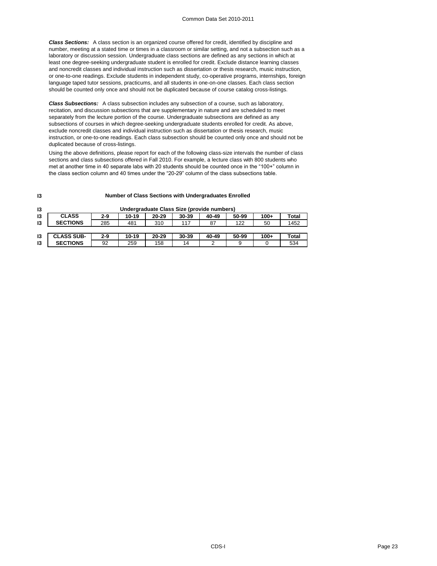*Class Sections:* A class section is an organized course offered for credit, identified by discipline and number, meeting at a stated time or times in a classroom or similar setting, and not a subsection such as a laboratory or discussion session. Undergraduate class sections are defined as any sections in which at least one degree-seeking undergraduate student is enrolled for credit. Exclude distance learning classes and noncredit classes and individual instruction such as dissertation or thesis research, music instruction, or one-to-one readings. Exclude students in independent study, co-operative programs, internships, foreign language taped tutor sessions, practicums, and all students in one-on-one classes. Each class section should be counted only once and should not be duplicated because of course catalog cross-listings.

*Class Subsections:* A class subsection includes any subsection of a course, such as laboratory, recitation, and discussion subsections that are supplementary in nature and are scheduled to meet separately from the lecture portion of the course. Undergraduate subsections are defined as any subsections of courses in which degree-seeking undergraduate students enrolled for credit. As above, exclude noncredit classes and individual instruction such as dissertation or thesis research, music instruction, or one-to-one readings. Each class subsection should be counted only once and should not be duplicated because of cross-listings.

Using the above definitions, please report for each of the following class-size intervals the number of class sections and class subsections offered in Fall 2010. For example, a lecture class with 800 students who met at another time in 40 separate labs with 20 students should be counted once in the "100+" column in the class section column and 40 times under the "20-29" column of the class subsections table.

#### **Number of Class Sections with Undergraduates Enrolled**

| 13            | Undergraduate Class Size (provide numbers) |         |           |           |           |       |       |        |       |
|---------------|--------------------------------------------|---------|-----------|-----------|-----------|-------|-------|--------|-------|
| $\mathsf{I}3$ | <b>CLASS</b>                               | $2 - 9$ | $10 - 19$ | $20 - 29$ | $30 - 39$ | 40-49 | 50-99 | $100+$ | Total |
| 13            | <b>SECTIONS</b>                            | 285     | 481       | 310       | 117       | -87   | 122   | 50     | 1452  |
|               |                                            |         |           |           |           |       |       |        |       |
| $\mathsf{I}3$ | <b>CLASS SUB-</b>                          | $2 - 9$ | $10 - 19$ | $20 - 29$ | 30-39     | 40-49 | 50-99 | $100+$ | Total |
| 13            | <b>SECTIONS</b>                            | 92      | 259       | 158       | 14        |       | 9     |        | 534   |

**I3**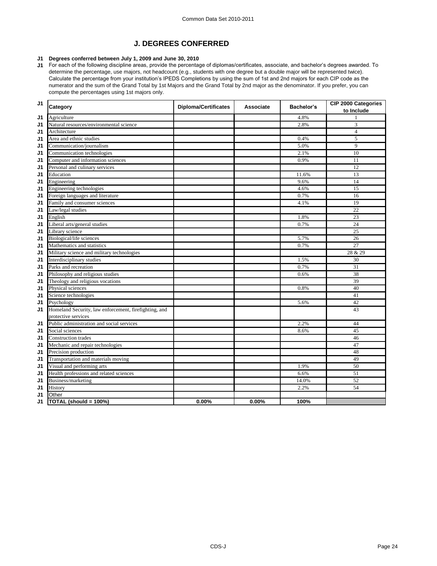# **J. DEGREES CONFERRED**

## **J1 Degrees conferred between July 1, 2009 and June 30, 2010**

**J1** For each of the following discipline areas, provide the percentage of diplomas/certificates, associate, and bachelor's degrees awarded. To determine the percentage, use majors, not headcount (e.g., students with one degree but a double major will be represented twice). Calculate the percentage from your institution's IPEDS Completions by using the sum of 1st and 2nd majors for each CIP code as the numerator and the sum of the Grand Total by 1st Majors and the Grand Total by 2nd major as the denominator. If you prefer, you can compute the percentages using 1st majors only.

| J <sub>1</sub> | Category                                              | <b>Diploma/Certificates</b> | <b>Associate</b> | <b>Bachelor's</b> | <b>CIP 2000 Categories</b><br>to Include |
|----------------|-------------------------------------------------------|-----------------------------|------------------|-------------------|------------------------------------------|
| J <sub>1</sub> | Agriculture                                           |                             |                  | 4.8%              |                                          |
| J1             | Natural resources/environmental science               |                             |                  | 2.8%              | 3                                        |
| J1             | Architecture                                          |                             |                  |                   | $\overline{4}$                           |
| J1             | Area and ethnic studies                               |                             |                  | 0.4%              | 5                                        |
| J1             | Communication/journalism                              |                             |                  | 5.0%              | 9                                        |
| J1             | Communication technologies                            |                             |                  | 2.1%              | 10                                       |
| J <sub>1</sub> | Computer and information sciences                     |                             |                  | 0.9%              | 11                                       |
| J1             | Personal and culinary services                        |                             |                  |                   | 12                                       |
| J1             | Education                                             |                             |                  | 11.6%             | 13                                       |
| J1             | Engineering                                           |                             |                  | 9.6%              | 14                                       |
| J1             | Engineering technologies                              |                             |                  | 4.6%              | 15                                       |
| J1             | Foreign languages and literature                      |                             |                  | 0.7%              | 16                                       |
| J1             | Family and consumer sciences                          |                             |                  | 4.1%              | 19                                       |
| J1             | Law/legal studies                                     |                             |                  |                   | 22                                       |
| J1             | English                                               |                             |                  | 1.8%              | $\overline{23}$                          |
| J1             | Liberal arts/general studies                          |                             |                  | 0.7%              | 24                                       |
| J1             | Library science                                       |                             |                  |                   | 25                                       |
| J1             | Biological/life sciences                              |                             |                  | 5.7%              | 26                                       |
| J1             | Mathematics and statistics                            |                             |                  | 0.7%              | 27                                       |
| J1             | Military science and military technologies            |                             |                  |                   | 28 & 29                                  |
| J1             | Interdisciplinary studies                             |                             |                  | 1.5%              | 30                                       |
| J1             | Parks and recreation                                  |                             |                  | 0.7%              | $\overline{31}$                          |
| J1             | Philosophy and religious studies                      |                             |                  | 0.6%              | 38                                       |
| J1             | Theology and religious vocations                      |                             |                  |                   | 39                                       |
| J1             | Physical sciences                                     |                             |                  | 0.8%              | 40                                       |
| J <sub>1</sub> | Science technologies                                  |                             |                  |                   | 41                                       |
| J1             | Psychology                                            |                             |                  | 5.6%              | 42                                       |
| J1             | Homeland Security, law enforcement, firefighting, and |                             |                  |                   | 43                                       |
|                | protective services                                   |                             |                  |                   |                                          |
| J1             | Public administration and social services             |                             |                  | 2.2%              | 44                                       |
| J1             | Social sciences                                       |                             |                  | 8.6%              | 45                                       |
| J1             | <b>Construction</b> trades                            |                             |                  |                   | 46                                       |
| J <sub>1</sub> | Mechanic and repair technologies                      |                             |                  |                   | 47                                       |
| J <sub>1</sub> | Precision production                                  |                             |                  |                   | 48                                       |
| J1             | Transportation and materials moving                   |                             |                  |                   | 49                                       |
| J1             | Visual and performing arts                            |                             |                  | 1.9%              | 50                                       |
| J1             | Health professions and related sciences               |                             |                  | 6.6%              | 51                                       |
| J1             | Business/marketing                                    |                             |                  | 14.0%             | 52                                       |
| J1             | History                                               |                             |                  | 2.2%              | 54                                       |
| J1             | Other                                                 |                             |                  |                   |                                          |
| J1             | TOTAL (should = 100%)                                 | 0.00%                       | 0.00%            | 100%              |                                          |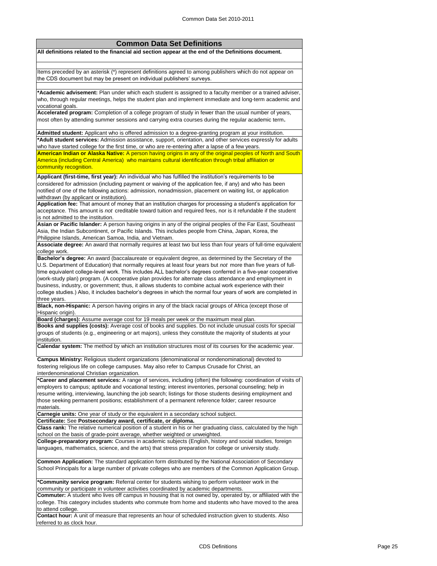## **Common Data Set Definitions**

**All definitions related to the financial aid section appear at the end of the Definitions document.**

Items preceded by an asterisk (\*) represent definitions agreed to among publishers which do not appear on the CDS document but may be present on individual publishers' surveys.

**\*Academic advisement:** Plan under which each student is assigned to a faculty member or a trained adviser, who, through regular meetings, helps the student plan and implement immediate and long-term academic and vocational goals.

**Accelerated program:** Completion of a college program of study in fewer than the usual number of years, most often by attending summer sessions and carrying extra courses during the regular academic term**.**

**Admitted student:** Applicant who is offered admission to a degree-granting program at your institution. **\*Adult student services:** Admission assistance, support, orientation, and other services expressly for adults who have started college for the first time, or who are re-entering after a lapse of a few years. **American Indian or Alaska Native:** A person having origins in any of the original peoples of North and South America (including Central America) who maintains cultural identification through tribal affiliation or community recognition.

**Applicant (first-time, first year):** An individual who has fulfilled the institution's requirements to be considered for admission (including payment or waiving of the application fee, if any) and who has been notified of one of the following actions: admission, nonadmission, placement on waiting list, or application withdrawn (by applicant or institution).

**Application fee:** That amount of money that an institution charges for processing a student's application for acceptance. This amount is *not* creditable toward tuition and required fees, nor is it refundable if the student is not admitted to the institution.

**Asian or Pacific Islander:** A person having origins in any of the original peoples of the Far East, Southeast Asia, the Indian Subcontinent, or Pacific Islands. This includes people from China, Japan, Korea, the Philippine Islands, American Samoa, India, and Vietnam.

**Associate degree:** An award that normally requires at least two but less than four years of full-time equivalent college work.

**Bachelor's degree:** An award (baccalaureate or equivalent degree, as determined by the Secretary of the U.S. Department of Education) that normally requires at least four years but *not* more than five years of fulltime equivalent college-level work. This includes ALL bachelor's degrees conferred in a five-year cooperative (work-study plan) program. (A cooperative plan provides for alternate class attendance and employment in business, industry, or government; thus, it allows students to combine actual work experience with their college studies.) Also, it includes bachelor's degrees in which the normal four years of work are completed in three years.

**Black, non-Hispanic:** A person having origins in any of the black racial groups of Africa (except those of Hispanic origin).

**Board (charges):** Assume average cost for 19 meals per week or the maximum meal plan.

**Books and supplies (costs):** Average cost of books and supplies. Do not include unusual costs for special groups of students (e.g., engineering or art majors), unless they constitute the majority of students at your institution.

**Calendar system:** The method by which an institution structures most of its courses for the academic year.

**Campus Ministry:** Religious student organizations (denominational or nondenominational) devoted to fostering religious life on college campuses. May also refer to Campus Crusade for Christ, an interdenominational Christian organization.

**\*Career and placement services:** A range of services, including (often) the following: coordination of visits of employers to campus; aptitude and vocational testing; interest inventories, personal counseling; help in resume writing, interviewing, launching the job search; listings for those students desiring employment and those seeking permanent positions; establishment of a permanent reference folder; career resource materials.

**Carnegie units:** One year of study or the equivalent in a secondary school subject.

**Certificate:** See **Postsecondary award, certificate, or diploma.**

**Class rank:** The relative numerical position of a student in his or her graduating class, calculated by the high school on the basis of grade-point average, whether weighted or unweighted.

**College-preparatory program:** Courses in academic subjects (English, history and social studies, foreign languages, mathematics, science, and the arts) that stress preparation for college or university study.

**Common Application:** The standard application form distributed by the National Association of Secondary School Principals for a large number of private colleges who are members of the Common Application Group.

**\*Community service program:** Referral center for students wishing to perform volunteer work in the community or participate in volunteer activities coordinated by academic departments.

**Commuter:** A student who lives off campus in housing that is not owned by, operated by, or affiliated with the college. This category includes students who commute from home and students who have moved to the area to attend college.

**Contact hour:** A unit of measure that represents an hour of scheduled instruction given to students. Also referred to as clock hour.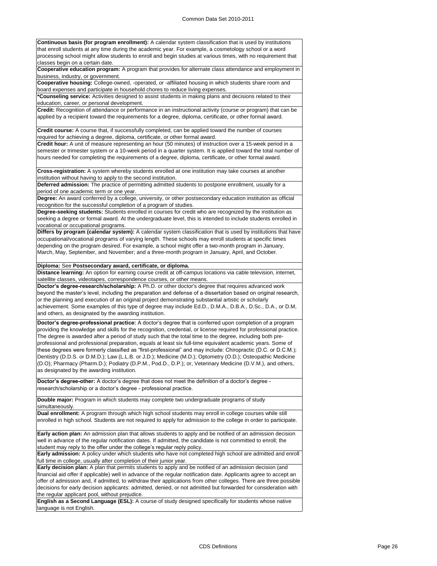**Continuous basis (for program enrollment):** A calendar system classification that is used by institutions that enroll students at any time during the academic year. For example, a cosmetology school or a word processing school might allow students to enroll and begin studies at various times, with no requirement that classes begin on a certain date.

**Cooperative education program:** A program that provides for alternate class attendance and employment in business, industry, or government.

**Cooperative housing:** College-owned, -operated, or -affiliated housing in which students share room and board expenses and participate in household chores to reduce living expenses.

**\*Counseling service:** Activities designed to assist students in making plans and decisions related to their education, career, or personal development.

**Credit:** Recognition of attendance or performance in an instructional activity (course or program) that can be applied by a recipient toward the requirements for a degree, diploma, certificate, or other formal award.

**Credit course:** A course that, if successfully completed, can be applied toward the number of courses required for achieving a degree, diploma, certificate, or other formal award.

**Credit hour:** A unit of measure representing an hour (50 minutes) of instruction over a 15-week period in a semester or trimester system or a 10-week period in a quarter system. It is applied toward the total number of hours needed for completing the requirements of a degree, diploma, certificate, or other formal award.

**Cross-registration:** A system whereby students enrolled at one institution may take courses at another institution without having to apply to the second institution.

**Deferred admission:** The practice of permitting admitted students to postpone enrollment, usually for a period of one academic term or one year.

**Degree:** An award conferred by a college, university, or other postsecondary education institution as official recognition for the successful completion of a program of studies.

**Degree-seeking students:** Students enrolled in courses for credit who are recognized by the institution as seeking a degree or formal award. At the undergraduate level, this is intended to include students enrolled in vocational or occupational programs.

**Differs by program (calendar system):** A calendar system classification that is used by institutions that have occupational/vocational programs of varying length. These schools may enroll students at specific times depending on the program desired. For example, a school might offer a two-month program in January, March, May, September, and November; and a three-month program in January, April, and October.

**Diploma:** See **Postsecondary award, certificate, or diploma.**

**Distance learning:** An option for earning course credit at off-campus locations via cable television, internet, satellite classes, videotapes, correspondence courses, or other means.

**Doctor's degree-research/scholarship:** A Ph.D. or other doctor's degree that requires advanced work beyond the master's level, including the preparation and defense of a dissertation based on original research, or the planning and execution of an original project demonstrating substantial artistic or scholarly achievement. Some examples of this type of degree may include Ed.D., D.M.A., D.B.A., D.Sc., D.A., or D.M, and others, as designated by the awarding institution.

**Doctor's degree-professional practice:** A doctor's degree that is conferred upon completion of a program providing the knowledge and skills for the recognition, credential, or license required for professional practice. The degree is awarded after a period of study such that the total time to the degree, including both preprofessional and professional preparation, equals at least six full-time equivalent academic years. Some of these degrees were formerly classified as "first-professional" and may include: Chiropractic (D.C. or D.C.M.); Dentistry (D.D.S. or D.M.D.); Law (L.L.B. or J.D.); Medicine (M.D.); Optometry (O.D.); Osteopathic Medicine (D.O); Pharmacy (Pharm.D.); Podiatry (D.P.M., Pod.D., D.P.); or, Veterinary Medicine (D.V.M.), and others, as designated by the awarding institution.

**Doctor's degree-other:** A doctor's degree that does not meet the definition of a doctor's degree research/scholarship or a doctor's degree - professional practice.

**Double major:** Program in which students may complete two undergraduate programs of study simultaneously.

**Dual enrollment:** A program through which high school students may enroll in college courses while still enrolled in high school. Students are not required to apply for admission to the college in order to participate.

**Early action plan:** An admission plan that allows students to apply and be notified of an admission decision well in advance of the regular notification dates. If admitted, the candidate is not committed to enroll; the student may reply to the offer under the college's regular reply policy.

**Early admission:** A policy under which students who have not completed high school are admitted and enroll full time in college, usually after completion of their junior year.

**Early decision plan:** A plan that permits students to apply and be notified of an admission decision (and financial aid offer if applicable) well in advance of the regular notification date. Applicants agree to accept an offer of admission and, if admitted, to withdraw their applications from other colleges. There are three possible decisions for early decision applicants: admitted, denied, or not admitted but forwarded for consideration with the regular applicant pool, without prejudice.

**English as a Second Language (ESL):** A course of study designed specifically for students whose native language is not English.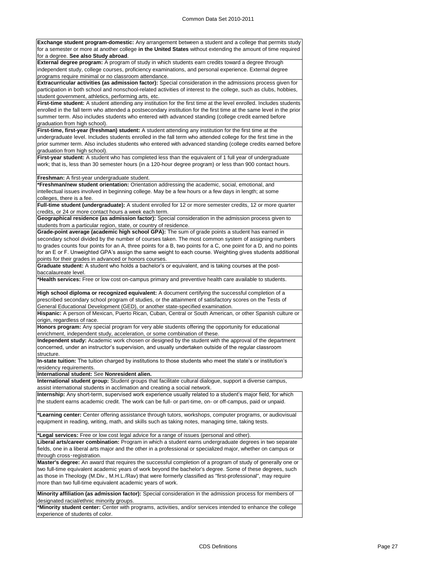**Exchange student program-domestic:** Any arrangement between a student and a college that permits study for a semester or more at another college **in the United States** without extending the amount of time required for a degree. **See also Study abroad**.

**External degree program:** A program of study in which students earn credits toward a degree through independent study, college courses, proficiency examinations, and personal experience. External degree programs require minimal or no classroom attendance.

**Extracurricular activities (as admission factor):** Special consideration in the admissions process given for participation in both school and nonschool-related activities of interest to the college, such as clubs, hobbies, student government, athletics, performing arts, etc.

**First-time student:** A student attending any institution for the first time at the level enrolled. Includes students enrolled in the fall term who attended a postsecondary institution for the first time at the same level in the prior summer term. Also includes students who entered with advanced standing (college credit earned before graduation from high school).

**First-time, first-year (freshman) student:** A student attending any institution for the first time at the undergraduate level. Includes students enrolled in the fall term who attended college for the first time in the prior summer term. Also includes students who entered with advanced standing (college credits earned before graduation from high school).

**First-year student:** A student who has completed less than the equivalent of 1 full year of undergraduate work; that is, less than 30 semester hours (in a 120-hour degree program) or less than 900 contact hours.

**Freshman:** A first-year undergraduate student.

**\*Freshman/new student orientation:** Orientation addressing the academic, social, emotional, and intellectual issues involved in beginning college. May be a few hours or a few days in length; at some colleges, there is a fee.

**Full-time student (undergraduate):** A student enrolled for 12 or more semester credits, 12 or more quarter credits, or 24 or more contact hours a week each term.

**Geographical residence (as admission factor):** Special consideration in the admission process given to students from a particular region, state, or country of residence.

**Grade-point average (academic high school GPA):** The sum of grade points a student has earned in secondary school divided by the number of courses taken. The most common system of assigning numbers to grades counts four points for an A, three points for a B, two points for a C, one point for a D, and no points for an E or F. Unweighted GPA's assign the same weight to each course. Weighting gives students additional points for their grades in advanced or honors courses.

**Graduate student:** A student who holds a bachelor's or equivalent, and is taking courses at the postbaccalaureate level.

**\*Health services:** Free or low cost on-campus primary and preventive health care available to students.

**High school diploma or recognized equivalent:** A document certifying the successful completion of a prescribed secondary school program of studies, or the attainment of satisfactory scores on the Tests of General Educational Development (GED), or another state-specified examination.

**Hispanic:** A person of Mexican, Puerto Rican, Cuban, Central or South American, or other Spanish culture or origin, regardless of race.

**Honors program:** Any special program for very able students offering the opportunity for educational enrichment, independent study, acceleration, or some combination of these.

**Independent study:** Academic work chosen or designed by the student with the approval of the department concerned, under an instructor's supervision, and usually undertaken outside of the regular classroom structure.

**In-state tuition:** The tuition charged by institutions to those students who meet the state's or institution's residency requirements.

**International student:** See **Nonresident alien.**

**International student group:** Student groups that facilitate cultural dialogue, support a diverse campus, assist international students in acclimation and creating a social network.

**Internship:** Any short-term, supervised work experience usually related to a student's major field, for which the student earns academic credit. The work can be full- or part-time, on- or off-campus, paid or unpaid.

**\*Learning center:** Center offering assistance through tutors, workshops, computer programs, or audiovisual equipment in reading, writing, math, and skills such as taking notes, managing time, taking tests.

**\*Legal services:** Free or low cost legal advice for a range of issues (personal and other).

**Liberal arts/career combination:** Program in which a student earns undergraduate degrees in two separate fields, one in a liberal arts major and the other in a professional or specialized major, whether on campus or through cross‑registration.

**Master's degree:** An award that requires the successful completion of a program of study of generally one or two full-time equivalent academic years of work beyond the bachelor's degree. Some of these degrees, such as those in Theology (M.Div., M.H.L./Rav) that were formerly classified as "first-professional", may require more than two full-time equivalent academic years of work.

**Minority affiliation (as admission factor):** Special consideration in the admission process for members of designated racial/ethnic minority groups.

**\*Minority student center:** Center with programs, activities, and/or services intended to enhance the college experience of students of color.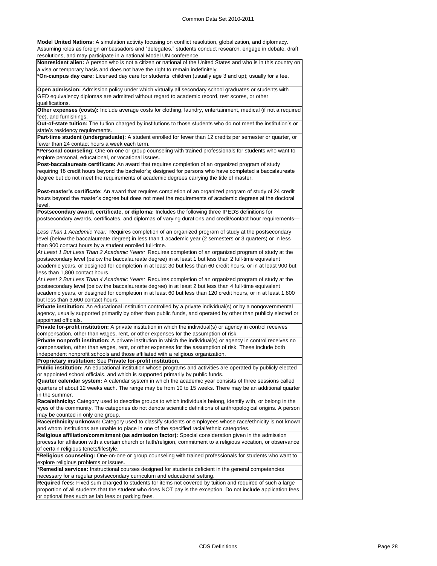**Model United Nations:** A simulation activity focusing on conflict resolution, globalization, and diplomacy. Assuming roles as foreign ambassadors and "delegates," students conduct research, engage in debate, draft resolutions, and may participate in a national Model UN conference.

**Nonresident alien:** A person who is not a citizen or national of the United States and who is in this country on a visa or temporary basis and does not have the right to remain indefinitely.

**\*On-campus day care:** Licensed day care for students' children (usually age 3 and up); usually for a fee.

**Open admission:** Admission policy under which virtually all secondary school graduates or students with GED equivalency diplomas are admitted without regard to academic record, test scores, or other qualifications.

**Other expenses (costs):** Include average costs for clothing, laundry, entertainment, medical (if not a required fee), and furnishings.

**Out-of-state tuition:** The tuition charged by institutions to those students who do not meet the institution's or state's residency requirements.

**Part-time student (undergraduate):** A student enrolled for fewer than 12 credits per semester or quarter, or fewer than 24 contact hours a week each term.

**\*Personal counseling**: One-on-one or group counseling with trained professionals for students who want to explore personal, educational, or vocational issues.

**Post-baccalaureate certificate:** An award that requires completion of an organized program of study requiring 18 credit hours beyond the bachelor's; designed for persons who have completed a baccalaureate degree but do not meet the requirements of academic degrees carrying the title of master.

**Post-master's certificate:** An award that requires completion of an organized program of study of 24 credit hours beyond the master's degree but does not meet the requirements of academic degrees at the doctoral level.

**Postsecondary award, certificate, or diploma:** Includes the following three IPEDS definitions for postsecondary awards, certificates, and diplomas of varying durations and credit/contact hour requirements—

*Less Than 1 Academic Year:* Requires completion of an organized program of study at the postsecondary level (below the baccalaureate degree) in less than 1 academic year (2 semesters or 3 quarters) or in less than 900 contact hours by a student enrolled full-time.

*At Least 1 But Less Than 2 Academic Years:* Requires completion of an organized program of study at the postsecondary level (below the baccalaureate degree) in at least 1 but less than 2 full-time equivalent academic years, or designed for completion in at least 30 but less than 60 credit hours, or in at least 900 but less than 1,800 contact hours.

*At Least 2 But Less Than 4 Academic Years:* Requires completion of an organized program of study at the postsecondary level (below the baccalaureate degree) in at least 2 but less than 4 full-time equivalent academic years, or designed for completion in at least 60 but less than 120 credit hours, or in at least 1,800 but less than 3,600 contact hours.

**Private institution:** An educational institution controlled by a private individual(s) or by a nongovernmental agency, usually supported primarily by other than public funds, and operated by other than publicly elected or appointed officials.

**Private for-profit institution:** A private institution in which the individual(s) or agency in control receives compensation, other than wages, rent, or other expenses for the assumption of risk.

**Private nonprofit institution:** A private institution in which the individual(s) or agency in control receives no compensation, other than wages, rent, or other expenses for the assumption of risk. These include both independent nonprofit schools and those affiliated with a religious organization.

**Proprietary institution:** See **Private for-profit institution.**

**Public institution:** An educational institution whose programs and activities are operated by publicly elected or appointed school officials, and which is supported primarily by public funds.

**Quarter calendar system:** A calendar system in which the academic year consists of three sessions called quarters of about 12 weeks each. The range may be from 10 to 15 weeks. There may be an additional quarter in the summer.

**Race/ethnicity:** Category used to describe groups to which individuals belong, identify with, or belong in the eyes of the community. The categories do not denote scientific definitions of anthropological origins. A person may be counted in only one group.

**Race/ethnicity unknown:** Category used to classify students or employees whose race/ethnicity is not known and whom institutions are unable to place in one of the specified racial/ethnic categories.

**Religious affiliation/commitment (as admission factor):** Special consideration given in the admission process for affiliation with a certain church or faith/religion, commitment to a religious vocation, or observance of certain religious tenets/lifestyle.

**\*Religious counseling:** One-on-one or group counseling with trained professionals for students who want to explore religious problems or issues.

**\*Remedial services:** Instructional courses designed for students deficient in the general competencies necessary for a regular postsecondary curriculum and educational setting.

**Required fees:** Fixed sum charged to students for items not covered by tuition and required of such a large proportion of all students that the student who does NOT pay is the exception. Do not include application fees or optional fees such as lab fees or parking fees.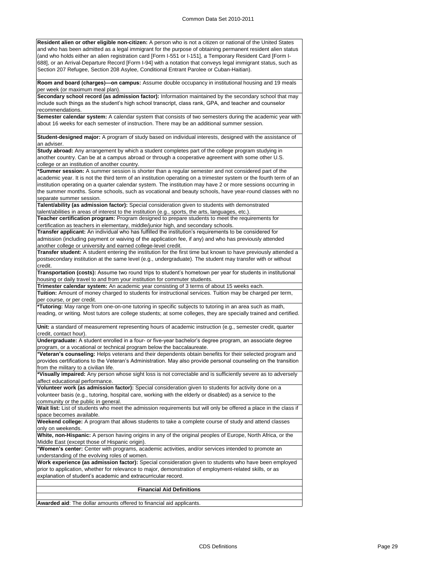**Resident alien or other eligible non-citizen:** A person who is not a citizen or national of the United States and who has been admitted as a legal immigrant for the purpose of obtaining permanent resident alien status (and who holds either an alien registration card [Form I-551 or I-151], a Temporary Resident Card [Form I-688], or an Arrival-Departure Record [Form I-94] with a notation that conveys legal immigrant status, such as Section 207 Refugee, Section 208 Asylee, Conditional Entrant Parolee or Cuban-Haitian).

**Room and board (charges)—on campus:** Assume double occupancy in institutional housing and 19 meals per week (or maximum meal plan).

**Secondary school record (as admission factor):** Information maintained by the secondary school that may include such things as the student's high school transcript, class rank, GPA, and teacher and counselor recommendations.

**Semester calendar system:** A calendar system that consists of two semesters during the academic year with about 16 weeks for each semester of instruction. There may be an additional summer session.

**Student-designed major:** A program of study based on individual interests, designed with the assistance of an adviser.

**Study abroad:** Any arrangement by which a student completes part of the college program studying in another country. Can be at a campus abroad or through a cooperative agreement with some other U.S. college or an institution of another country.

**\*Summer session:** A summer session is shorter than a regular semester and not considered part of the academic year. It is not the third term of an institution operating on a trimester system or the fourth term of an institution operating on a quarter calendar system. The institution may have 2 or more sessions occurring in the summer months. Some schools, such as vocational and beauty schools, have year-round classes with no separate summer session.

**Talent/ability (as admission factor):** Special consideration given to students with demonstrated talent/abilities in areas of interest to the institution (e.g., sports, the arts, languages, etc.)

**Teacher certification program:** Program designed to prepare students to meet the requirements for certification as teachers in elementary, middle/junior high, and secondary schools.

**Transfer applicant:** An individual who has fulfilled the institution's requirements to be considered for admission (including payment or waiving of the application fee, if any) and who has previously attended another college or university and earned college-level credit.

**Transfer student:** A student entering the institution for the first time but known to have previously attended a postsecondary institution at the same level (e.g., undergraduate). The student may transfer with or without credit.

**Transportation (costs):** Assume two round trips to student's hometown per year for students in institutional housing or daily travel to and from your institution for commuter students.

**Trimester calendar system:** An academic year consisting of 3 terms of about 15 weeks each.

**Tuition:** Amount of money charged to students for instructional services. Tuition may be charged per term, per course, or per credit.

**\*Tutoring:** May range from one-on-one tutoring in specific subjects to tutoring in an area such as math, reading, or writing. Most tutors are college students; at some colleges, they are specially trained and certified.

**Unit:** a standard of measurement representing hours of academic instruction (e.g., semester credit, quarter credit, contact hour).

**Undergraduate:** A student enrolled in a four- or five-year bachelor's degree program, an associate degree program, or a vocational or technical program below the baccalaureate.

**\*Veteran's counseling:** Helps veterans and their dependents obtain benefits for their selected program and provides certifications to the Veteran's Administration. May also provide personal counseling on the transition from the military to a civilian life.

**\*Visually impaired:** Any person whose sight loss is not correctable and is sufficiently severe as to adversely affect educational performance.

**Volunteer work (as admission factor):** Special consideration given to students for activity done on a volunteer basis (e.g., tutoring, hospital care, working with the elderly or disabled) as a service to the community or the public in general.

**Wait list:** List of students who meet the admission requirements but will only be offered a place in the class if space becomes available.

**Weekend college:** A program that allows students to take a complete course of study and attend classes only on weekends.

**White, non-Hispanic:** A person having origins in any of the original peoples of Europe, North Africa, or the Middle East (except those of Hispanic origin).

**\*Women's center:** Center with programs, academic activities, and/or services intended to promote an understanding of the evolving roles of women.

**Work experience (as admission factor):** Special consideration given to students who have been employed prior to application, whether for relevance to major, demonstration of employment-related skills, or as explanation of student's academic and extracurricular record.

**Financial Aid Definitions**

**Awarded aid**: The dollar amounts offered to financial aid applicants.